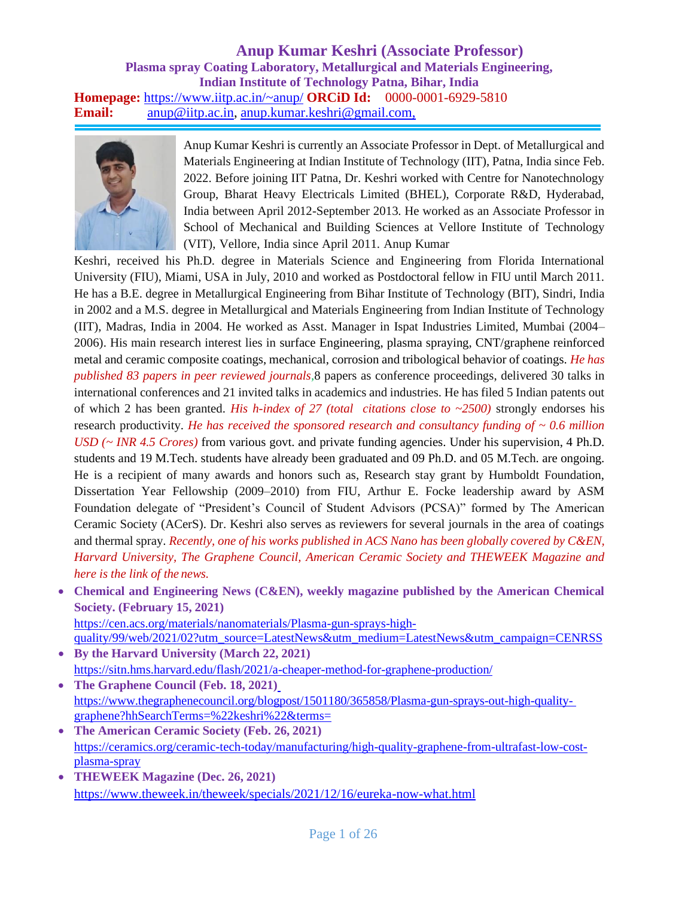#### **Anup Kumar Keshri (Associate Professor) Plasma spray Coating Laboratory, Metallurgical and Materials Engineering, Indian Institute of Technology Patna, Bihar, India Homepage:** https:/[/www.iitp.ac.in/~anup/](http://www.iitp.ac.in/~anup/) **ORCiD Id:** 0000-0001-6929-5810 Email: [anup@iitp.ac.in,](mailto:anup@iitp.ac.in) [anup.kumar.keshri@gmail.com,](mailto:anup.kumar.keshri@gmail.com)



Anup Kumar Keshri is currently an Associate Professor in Dept. of Metallurgical and Materials Engineering at Indian Institute of Technology (IIT), Patna, India since Feb. 2022. Before joining IIT Patna, Dr. Keshri worked with Centre for Nanotechnology Group, Bharat Heavy Electricals Limited (BHEL), Corporate R&D, Hyderabad, India between April 2012-September 2013. He worked as an Associate Professor in School of Mechanical and Building Sciences at Vellore Institute of Technology (VIT), Vellore, India since April 2011. Anup Kumar

Keshri, received his Ph.D. degree in Materials Science and Engineering from Florida International University (FIU), Miami, USA in July, 2010 and worked as Postdoctoral fellow in FIU until March 2011. He has a B.E. degree in Metallurgical Engineering from Bihar Institute of Technology (BIT), Sindri, India in 2002 and a M.S. degree in Metallurgical and Materials Engineering from Indian Institute of Technology (IIT), Madras, India in 2004. He worked as Asst. Manager in Ispat Industries Limited, Mumbai (2004– 2006). His main research interest lies in surface Engineering, plasma spraying, CNT/graphene reinforced metal and ceramic composite coatings, mechanical, corrosion and tribological behavior of coatings. *He has published 83 papers in peer reviewed journals,*8 papers as conference proceedings, delivered 30 talks in international conferences and 21 invited talks in academics and industries. He has filed 5 Indian patents out of which 2 has been granted. *His h-index of 27 (total citations close to ~2500)* strongly endorses his research productivity. *He has received the sponsored research and consultancy funding of ~ 0.6 million USD (~ INR 4.5 Crores)* from various govt. and private funding agencies. Under his supervision, 4 Ph.D. students and 19 M.Tech. students have already been graduated and 09 Ph.D. and 05 M.Tech. are ongoing. He is a recipient of many awards and honors such as, Research stay grant by Humboldt Foundation, Dissertation Year Fellowship (2009–2010) from FIU, Arthur E. Focke leadership award by ASM Foundation delegate of "President's Council of Student Advisors (PCSA)" formed by The American Ceramic Society (ACerS). Dr. Keshri also serves as reviewers for several journals in the area of coatings and thermal spray. *Recently, one of his works published in ACS Nano has been globally covered by C&EN, Harvard University, The Graphene Council, American Ceramic Society and THEWEEK Magazine and here is the link of the news.*

• **Chemical and Engineering News (C&EN), weekly magazine published by the American Chemical Society. (February 15, 2021)** https://cen.acs.org/materials/nanomaterials/Plasma-gun-sprays-high-

quality/99/web/2021/02?utm\_source=LatestNews&utm\_medium=LatestNews&utm\_campaign=CENRSS • **By the Harvard University (March 22, 2021)**

https://sitn.hms.harvard.edu/flash/2021/a-cheaper-method-for-graphene-production/ • **The Graphene Council (Feb. 18, 2021)**

https:/[/www.thegraphenecouncil.org/blogpost/1501180/365858/Plasma-gun-sprays-out-high-quality](http://www.thegraphenecouncil.org/blogpost/1501180/365858/Plasma-gun-sprays-out-high-quality-)graphene?hhSearchTerms=%22keshri%22&terms=

- **The American Ceramic Society (Feb. 26, 2021)** https://ceramics.org/ceramic-tech-today/manufacturing/high-quality-graphene-from-ultrafast-low-costplasma-spray
- **THEWEEK Magazine (Dec. 26, 2021)** [https://www.t](http://www.theweek.in/theweek/specials/2021/12/16/eureka-now-what.html)heweek[.in/theweek/specials/2021/12/16/eureka-now-what.html](http://www.theweek.in/theweek/specials/2021/12/16/eureka-now-what.html)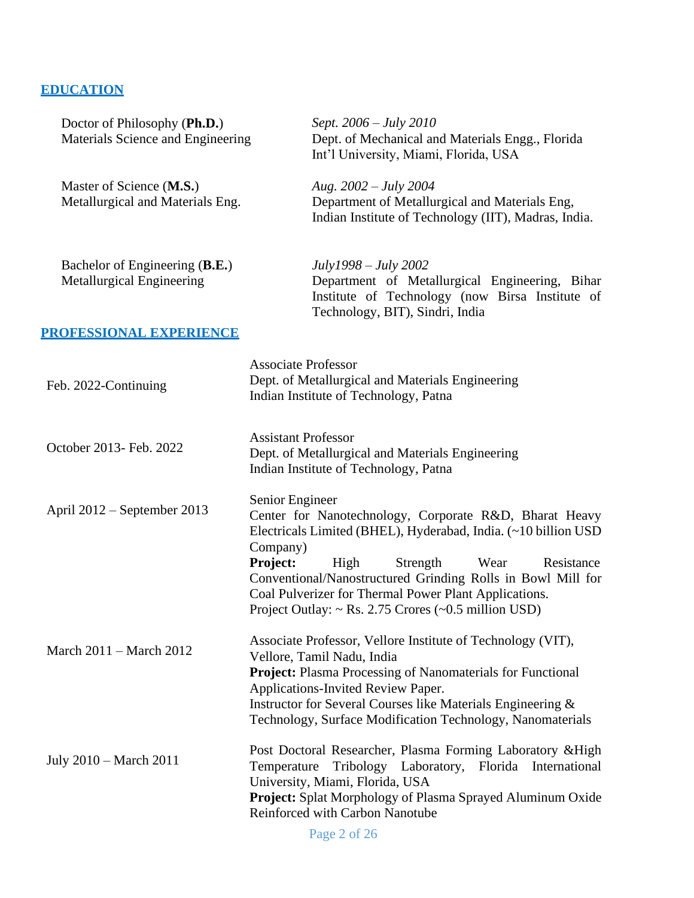# **EDUCATION**

| Doctor of Philosophy (Ph.D.)<br>Materials Science and Engineering  | Sept. 2006 – July 2010<br>Dept. of Mechanical and Materials Engg., Florida<br>Int'l University, Miami, Florida, USA                                                                                                                                                                                                                                                                                       |
|--------------------------------------------------------------------|-----------------------------------------------------------------------------------------------------------------------------------------------------------------------------------------------------------------------------------------------------------------------------------------------------------------------------------------------------------------------------------------------------------|
| Master of Science (M.S.)<br>Metallurgical and Materials Eng.       | Aug. $2002 - July 2004$<br>Department of Metallurgical and Materials Eng,<br>Indian Institute of Technology (IIT), Madras, India.                                                                                                                                                                                                                                                                         |
| Bachelor of Engineering (B.E.)<br><b>Metallurgical Engineering</b> | $July1998 - July 2002$<br>Department of Metallurgical Engineering, Bihar<br>Institute of Technology (now Birsa Institute of<br>Technology, BIT), Sindri, India                                                                                                                                                                                                                                            |
| PROFESSIONAL EXPERIENCE                                            |                                                                                                                                                                                                                                                                                                                                                                                                           |
| Feb. 2022-Continuing                                               | <b>Associate Professor</b><br>Dept. of Metallurgical and Materials Engineering<br>Indian Institute of Technology, Patna                                                                                                                                                                                                                                                                                   |
| October 2013- Feb. 2022                                            | <b>Assistant Professor</b><br>Dept. of Metallurgical and Materials Engineering<br>Indian Institute of Technology, Patna                                                                                                                                                                                                                                                                                   |
| April 2012 – September 2013                                        | Senior Engineer<br>Center for Nanotechnology, Corporate R&D, Bharat Heavy<br>Electricals Limited (BHEL), Hyderabad, India. (~10 billion USD<br>Company)<br>Project:<br>High<br>Strength<br>Wear<br>Resistance<br>Conventional/Nanostructured Grinding Rolls in Bowl Mill for<br>Coal Pulverizer for Thermal Power Plant Applications.<br>Project Outlay: $\sim$ Rs. 2.75 Crores ( $\sim$ 0.5 million USD) |
| March 2011 – March 2012                                            | Associate Professor, Vellore Institute of Technology (VIT),<br>Vellore, Tamil Nadu, India<br><b>Project:</b> Plasma Processing of Nanomaterials for Functional<br>Applications-Invited Review Paper.<br>Instructor for Several Courses like Materials Engineering &<br>Technology, Surface Modification Technology, Nanomaterials                                                                         |
| July 2010 – March 2011                                             | Post Doctoral Researcher, Plasma Forming Laboratory & High<br>Tribology Laboratory,<br>Florida International<br>Temperature<br>University, Miami, Florida, USA<br>Project: Splat Morphology of Plasma Sprayed Aluminum Oxide<br>Reinforced with Carbon Nanotube                                                                                                                                           |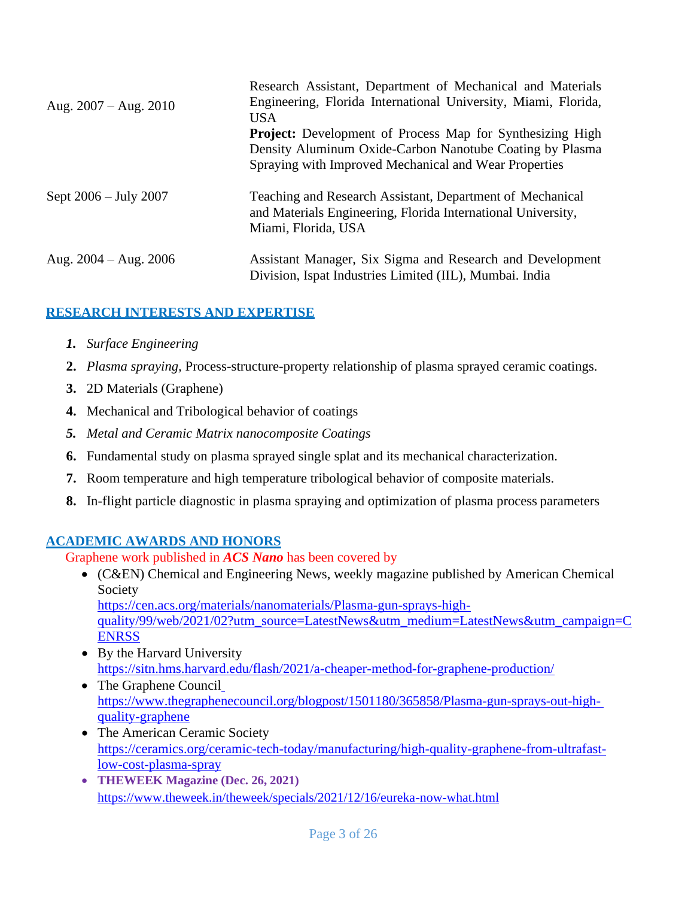|                         | Research Assistant, Department of Mechanical and Materials                                                                                                                            |  |  |  |  |
|-------------------------|---------------------------------------------------------------------------------------------------------------------------------------------------------------------------------------|--|--|--|--|
| Aug. $2007 - Aug. 2010$ | Engineering, Florida International University, Miami, Florida,<br>USA.                                                                                                                |  |  |  |  |
|                         | <b>Project:</b> Development of Process Map for Synthesizing High<br>Density Aluminum Oxide-Carbon Nanotube Coating by Plasma<br>Spraying with Improved Mechanical and Wear Properties |  |  |  |  |
| Sept 2006 – July 2007   | Teaching and Research Assistant, Department of Mechanical<br>and Materials Engineering, Florida International University,<br>Miami, Florida, USA                                      |  |  |  |  |
| Aug. $2004 - Aug. 2006$ | Assistant Manager, Six Sigma and Research and Development<br>Division, Ispat Industries Limited (IIL), Mumbai. India                                                                  |  |  |  |  |

# **RESEARCH INTERESTS AND EXPERTISE**

- *1. Surface Engineering*
- **2.** *Plasma spraying,* Process-structure-property relationship of plasma sprayed ceramic coatings.
- **3.** 2D Materials (Graphene)
- **4.** Mechanical and Tribological behavior of coatings
- *5. Metal and Ceramic Matrix nanocomposite Coatings*
- **6.** Fundamental study on plasma sprayed single splat and its mechanical characterization.
- **7.** Room temperature and high temperature tribological behavior of composite materials.
- **8.** In-flight particle diagnostic in plasma spraying and optimization of plasma process parameters

# **ACADEMIC AWARDS AND HONORS**

Graphene work published in *ACS Nano* has been covered by

• (C&EN) Chemical and Engineering News, weekly magazine published by American Chemical Society

https://cen.acs.org/materials/nanomaterials/Plasma-gun-sprays-high-

quality/99/web/2021/02?utm\_source=LatestNews&utm\_medium=LatestNews&utm\_campaign=C **ENRSS** 

- By the Harvard University https://sitn.hms.harvard.edu/flash/2021/a-cheaper-method-for-graphene-production/
- The Graphene Council https:/[/www.thegraphenecouncil.org/blogpost/1501180/365858/Plasma-gun-sprays-out-high](http://www.thegraphenecouncil.org/blogpost/1501180/365858/Plasma-gun-sprays-out-high-)quality-graphene
- The American Ceramic Society https://ceramics.org/ceramic-tech-today/manufacturing/high-quality-graphene-from-ultrafastlow-cost-plasma-spray
- **THEWEEK Magazine (Dec. 26, 2021)** [https://www.t](http://www.theweek.in/theweek/specials/2021/12/16/eureka-now-what.html)heweek[.in/theweek/specials/2021/12/16/eureka-now-what.html](http://www.theweek.in/theweek/specials/2021/12/16/eureka-now-what.html)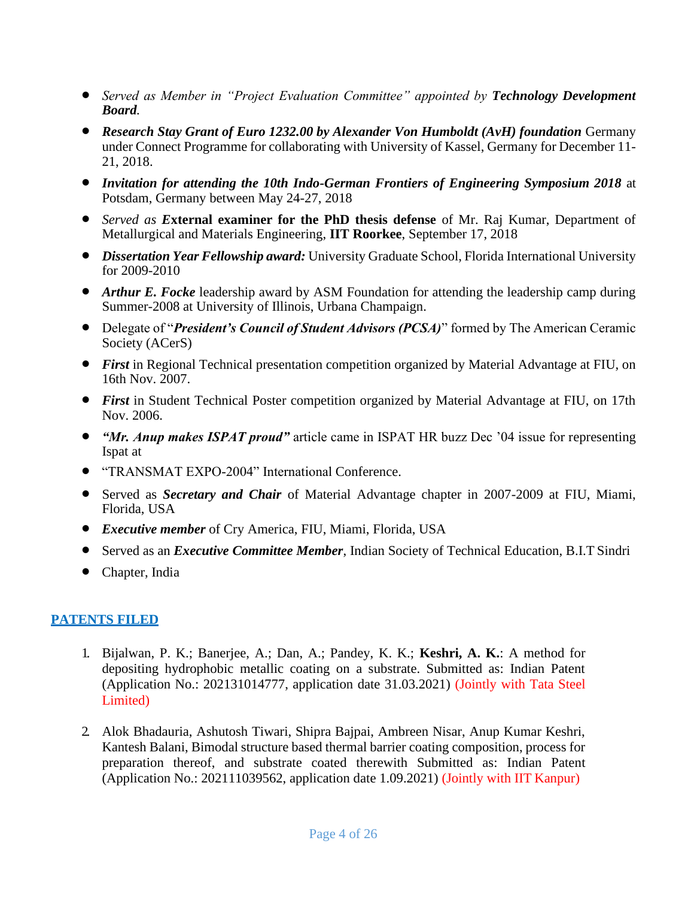- *Served as Member in "Project Evaluation Committee" appointed by Technology Development Board.*
- *Research Stay Grant of Euro 1232.00 by Alexander Von Humboldt (AvH) foundation Germany* under Connect Programme for collaborating with University of Kassel, Germany for December 11- 21, 2018.
- *Invitation for attending the 10th Indo-German Frontiers of Engineering Symposium 2018* at Potsdam, Germany between May 24-27, 2018
- *Served as E***xternal examiner for the PhD thesis defense** of Mr. Raj Kumar, Department of Metallurgical and Materials Engineering, **IIT Roorkee**, September 17, 2018
- *Dissertation Year Fellowship award:* University Graduate School, Florida International University for 2009-2010
- *Arthur E. Focke* leadership award by ASM Foundation for attending the leadership camp during Summer-2008 at University of Illinois, Urbana Champaign.
- Delegate of "*President's Council of Student Advisors (PCSA)*" formed by The American Ceramic Society (ACerS)
- *First* in Regional Technical presentation competition organized by Material Advantage at FIU, on 16th Nov. 2007.
- *First* in Student Technical Poster competition organized by Material Advantage at FIU, on 17th Nov. 2006.
- *"Mr. Anup makes ISPAT proud"* article came in ISPAT HR buzz Dec '04 issue for representing Ispat at
- "TRANSMAT EXPO-2004" International Conference.
- Served as *Secretary and Chair* of Material Advantage chapter in 2007-2009 at FIU, Miami, Florida, USA
- *Executive member* of Cry America, FIU, Miami, Florida, USA
- Served as an *Executive Committee Member*, Indian Society of Technical Education, B.I.T Sindri
- Chapter, India

### **PATENTS FILED**

- 1. Bijalwan, P. K.; Banerjee, A.; Dan, A.; Pandey, K. K.; **Keshri, A. K.**: A method for depositing hydrophobic metallic coating on a substrate. Submitted as: Indian Patent (Application No.: 202131014777, application date 31.03.2021) (Jointly with Tata Steel Limited)
- 2. Alok Bhadauria, Ashutosh Tiwari, Shipra Bajpai, Ambreen Nisar, Anup Kumar Keshri, Kantesh Balani, Bimodal structure based thermal barrier coating composition, process for preparation thereof, and substrate coated therewith Submitted as: Indian Patent (Application No.: 202111039562, application date 1.09.2021) (Jointly with IIT Kanpur)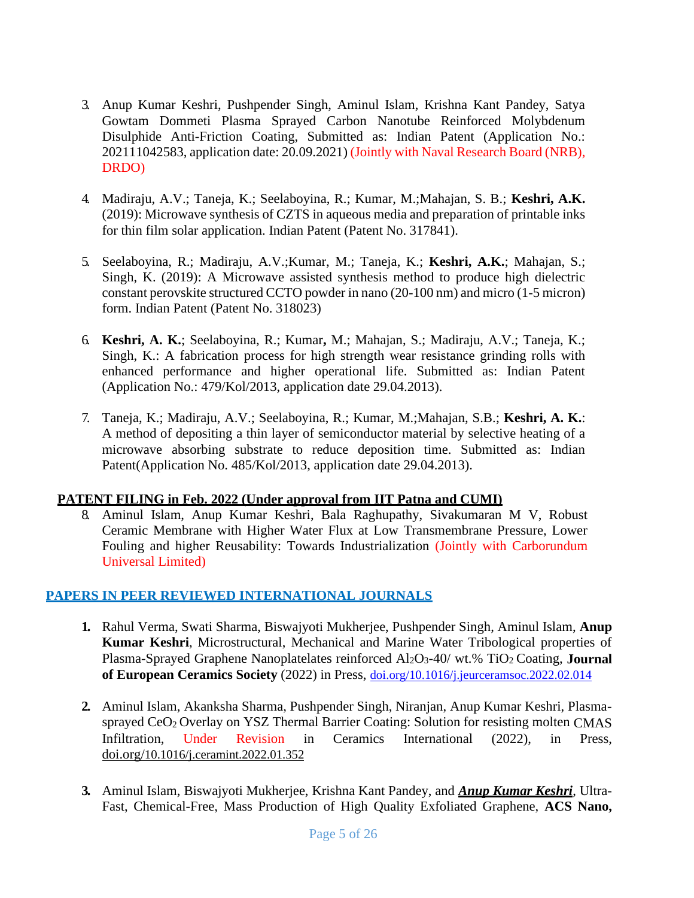- 3. Anup Kumar Keshri, Pushpender Singh, Aminul Islam, Krishna Kant Pandey, Satya Gowtam Dommeti Plasma Sprayed Carbon Nanotube Reinforced Molybdenum Disulphide Anti-Friction Coating, Submitted as: Indian Patent (Application No.: 202111042583, application date: 20.09.2021) (Jointly with Naval Research Board (NRB), DRDO)
- 4. Madiraju, A.V.; Taneja, K.; Seelaboyina, R.; Kumar, M.;Mahajan, S. B.; **Keshri, A.K.**  (2019): Microwave synthesis of CZTS in aqueous media and preparation of printable inks for thin film solar application. Indian Patent (Patent No. 317841).
- 5. Seelaboyina, R.; Madiraju, A.V.;Kumar, M.; Taneja, K.; **Keshri, A.K.**; Mahajan, S.; Singh, K. (2019): A Microwave assisted synthesis method to produce high dielectric constant perovskite structured CCTO powder in nano (20-100 nm) and micro (1-5 micron) form. Indian Patent (Patent No. 318023)
- 6. **Keshri, A. K.**; Seelaboyina, R.; Kumar**,** M.; Mahajan, S.; Madiraju, A.V.; Taneja, K.; Singh, K.: A fabrication process for high strength wear resistance grinding rolls with enhanced performance and higher operational life. Submitted as: Indian Patent (Application No.: 479/Kol/2013, application date 29.04.2013).
- 7. Taneja, K.; Madiraju, A.V.; Seelaboyina, R.; Kumar, M.;Mahajan, S.B.; **Keshri, A. K.**: A method of depositing a thin layer of semiconductor material by selective heating of a microwave absorbing substrate to reduce deposition time. Submitted as: Indian Patent(Application No. 485/Kol/2013, application date 29.04.2013).

#### **PATENT FILING in Feb. 2022 (Under approval from IIT Patna and CUMI)**

8. Aminul Islam, Anup Kumar Keshri, Bala Raghupathy, Sivakumaran M V, Robust Ceramic Membrane with Higher Water Flux at Low Transmembrane Pressure, Lower Fouling and higher Reusability: Towards Industrialization (Jointly with Carborundum Universal Limited)

# **PAPERS IN PEER REVIEWED INTERNATIONAL JOURNALS**

- **1.** Rahul Verma, Swati Sharma, Biswajyoti Mukherjee, Pushpender Singh, Aminul Islam, **Anup Kumar Keshri**, Microstructural, Mechanical and Marine Water Tribological properties of Plasma-Sprayed Graphene Nanoplatelates reinforced Al2O3-40/ wt.% TiO2 Coating, **Journal of European Ceramics Society** (2022) in Press, [doi.org/10.1016/j.jeurceramsoc.2022.02.014](https://doi.org/10.1016/j.jeurceramsoc.2022.02.014)
- **2.** Aminul Islam, Akanksha Sharma, Pushpender Singh, Niranjan, Anup Kumar Keshri, Plasmasprayed CeO<sub>2</sub> Overlay on YSZ Thermal Barrier Coating: Solution for resisting molten CMAS Infiltration, Under Revision in Ceramics International (2022), in Press, doi.org/[10.1016/j.ceramint.2022.01.352](https://doi.org/10.1016/j.ceramint.2022.01.352)
- **3.** Aminul Islam, Biswajyoti Mukherjee, Krishna Kant Pandey, and *Anup Kumar Keshri*, Ultra-Fast, Chemical-Free, Mass Production of High Quality Exfoliated Graphene, **ACS Nano,**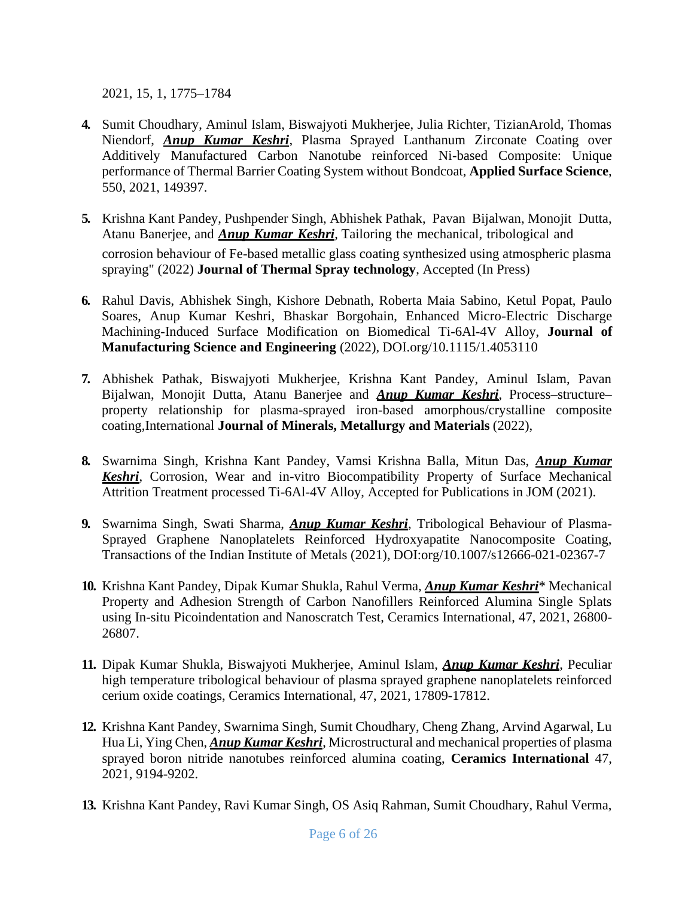2021, 15, 1, 1775–1784

- **4.** Sumit Choudhary, Aminul Islam, Biswajyoti Mukherjee, Julia Richter, TizianArold, Thomas Niendorf, *Anup Kumar Keshri*, Plasma Sprayed Lanthanum Zirconate Coating over Additively Manufactured Carbon Nanotube reinforced Ni-based Composite: Unique performance of Thermal Barrier Coating System without Bondcoat, **Applied Surface Science**, 550, 2021, 149397.
- **5.** Krishna Kant Pandey, Pushpender Singh, Abhishek Pathak, Pavan Bijalwan, Monojit Dutta, Atanu Banerjee, and *Anup Kumar Keshri*, Tailoring the mechanical, tribological and corrosion behaviour of Fe-based metallic glass coating synthesized using atmospheric plasma spraying" (2022) **Journal of Thermal Spray technology**, Accepted (In Press)
- **6.** Rahul Davis, Abhishek Singh, Kishore Debnath, Roberta Maia Sabino, Ketul Popat, Paulo Soares, Anup Kumar Keshri, Bhaskar Borgohain, Enhanced Micro-Electric Discharge Machining-Induced Surface Modification on Biomedical Ti-6Al-4V Alloy, **Journal of Manufacturing Science and Engineering** (2022), DOI.org/10.1115/1.4053110
- **7.** Abhishek Pathak, Biswajyoti Mukherjee, Krishna Kant Pandey, Aminul Islam, Pavan Bijalwan, Monojit Dutta, Atanu Banerjee and *Anup Kumar Keshri*, Process–structure– property relationship for plasma-sprayed iron-based amorphous/crystalline composite coating,International **Journal of Minerals, Metallurgy and Materials** (2022),
- **8.** Swarnima Singh, Krishna Kant Pandey, Vamsi Krishna Balla, Mitun Das, *Anup Kumar Keshri*, Corrosion, Wear and in-vitro Biocompatibility Property of Surface Mechanical Attrition Treatment processed Ti-6Al-4V Alloy, Accepted for Publications in JOM (2021).
- **9.** Swarnima Singh, Swati Sharma, *Anup Kumar Keshri*, Tribological Behaviour of Plasma-Sprayed Graphene Nanoplatelets Reinforced Hydroxyapatite Nanocomposite Coating, Transactions of the Indian Institute of Metals (2021), DOI:org/10.1007/s12666-021-02367-7
- **10.** Krishna Kant Pandey, Dipak Kumar Shukla, Rahul Verma, *Anup Kumar Keshri*\* Mechanical Property and Adhesion Strength of Carbon Nanofillers Reinforced Alumina Single Splats using In-situ Picoindentation and Nanoscratch Test, Ceramics International, 47, 2021, 26800- 26807.
- **11.** Dipak Kumar Shukla, Biswajyoti Mukherjee, Aminul Islam, *Anup Kumar Keshri*, Peculiar high temperature tribological behaviour of plasma sprayed graphene nanoplatelets reinforced cerium oxide coatings, Ceramics International, 47, 2021, 17809-17812.
- **12.** Krishna Kant Pandey, Swarnima Singh, Sumit Choudhary, Cheng Zhang, Arvind Agarwal, Lu Hua Li, Ying Chen, *Anup Kumar Keshri*, Microstructural and mechanical properties of plasma sprayed boron nitride nanotubes reinforced alumina coating, **Ceramics International** 47, 2021, 9194-9202.
- **13.** Krishna Kant Pandey, Ravi Kumar Singh, OS Asiq Rahman, Sumit Choudhary, Rahul Verma,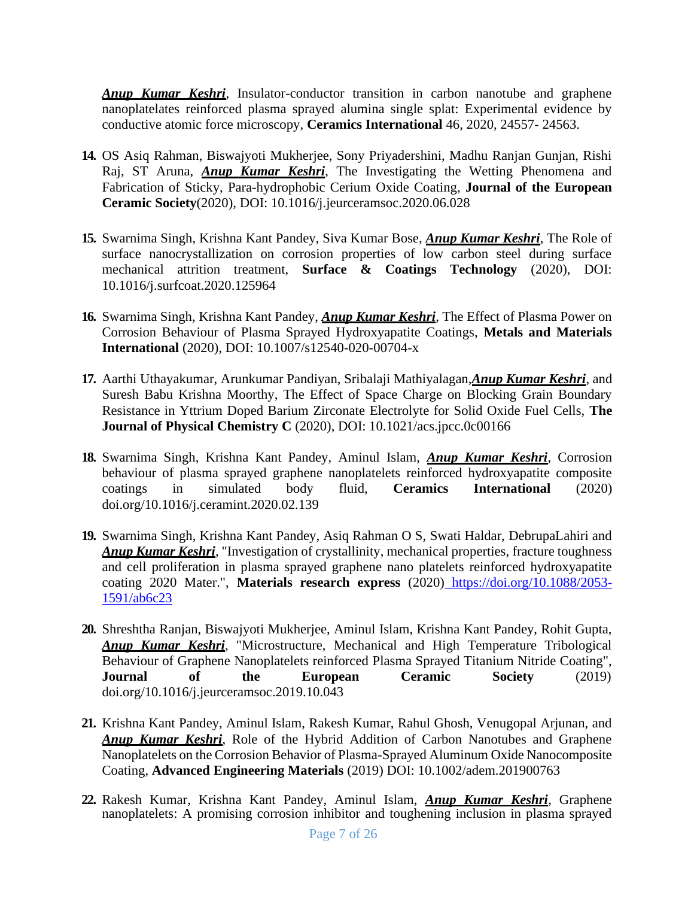*Anup Kumar Keshri*, Insulator-conductor transition in carbon nanotube and graphene nanoplatelates reinforced plasma sprayed alumina single splat: Experimental evidence by conductive atomic force microscopy, **Ceramics International** 46, 2020, 24557- 24563.

- **14.** OS Asiq Rahman, Biswajyoti Mukherjee, Sony Priyadershini, Madhu Ranjan Gunjan, Rishi Raj, ST Aruna, *Anup Kumar Keshri*, The Investigating the Wetting Phenomena and Fabrication of Sticky, Para-hydrophobic Cerium Oxide Coating, **Journal of the European Ceramic Society**(2020), DOI: 10.1016/j.jeurceramsoc.2020.06.028
- **15.** Swarnima Singh, Krishna Kant Pandey, Siva Kumar Bose, *Anup Kumar Keshri*, The Role of surface nanocrystallization on corrosion properties of low carbon steel during surface mechanical attrition treatment, **Surface & Coatings Technology** (2020), DOI: 10.1016/j.surfcoat.2020.125964
- **16.** Swarnima Singh, Krishna Kant Pandey, *Anup Kumar Keshri*, The Effect of Plasma Power on Corrosion Behaviour of Plasma Sprayed Hydroxyapatite Coatings, **Metals and Materials International** (2020), DOI: 10.1007/s12540-020-00704-x
- **17.** Aarthi Uthayakumar, Arunkumar Pandiyan, Sribalaji Mathiyalagan,*Anup Kumar Keshri*, and Suresh Babu Krishna Moorthy, The Effect of Space Charge on Blocking Grain Boundary Resistance in Yttrium Doped Barium Zirconate Electrolyte for Solid Oxide Fuel Cells, **The Journal of Physical Chemistry C** (2020), DOI: 10.1021/acs.jpcc.0c00166
- **18.** Swarnima Singh, Krishna Kant Pandey, Aminul Islam, *Anup Kumar Keshri*, Corrosion behaviour of plasma sprayed graphene nanoplatelets reinforced hydroxyapatite composite coatings in simulated body fluid, **Ceramics International** (2020) doi.org/10.1016/j.ceramint.2020.02.139
- **19.** Swarnima Singh, Krishna Kant Pandey, Asiq Rahman O S, Swati Haldar, DebrupaLahiri and *Anup Kumar Keshri*, "Investigation of crystallinity, mechanical properties, fracture toughness and cell proliferation in plasma sprayed graphene nano platelets reinforced hydroxyapatite coating 2020 Mater.", **Materials research express** (2020) https://doi.org/10.1088/2053- 1591/ab6c23
- **20.** Shreshtha Ranjan, Biswajyoti Mukherjee, Aminul Islam, Krishna Kant Pandey, Rohit Gupta, *Anup Kumar Keshri*, "Microstructure, Mechanical and High Temperature Tribological Behaviour of Graphene Nanoplatelets reinforced Plasma Sprayed Titanium Nitride Coating", **Journal of the European Ceramic Society** (2019) doi.org/10.1016/j.jeurceramsoc.2019.10.043
- **21.** Krishna Kant Pandey, Aminul Islam, Rakesh Kumar, Rahul Ghosh, Venugopal Arjunan, and *Anup Kumar Keshri*, Role of the Hybrid Addition of Carbon Nanotubes and Graphene Nanoplatelets on the Corrosion Behavior of Plasma-Sprayed Aluminum Oxide Nanocomposite Coating, **Advanced Engineering Materials** (2019) DOI: 10.1002/adem.201900763
- **22.** Rakesh Kumar, Krishna Kant Pandey, Aminul Islam, *Anup Kumar Keshri*, Graphene nanoplatelets: A promising corrosion inhibitor and toughening inclusion in plasma sprayed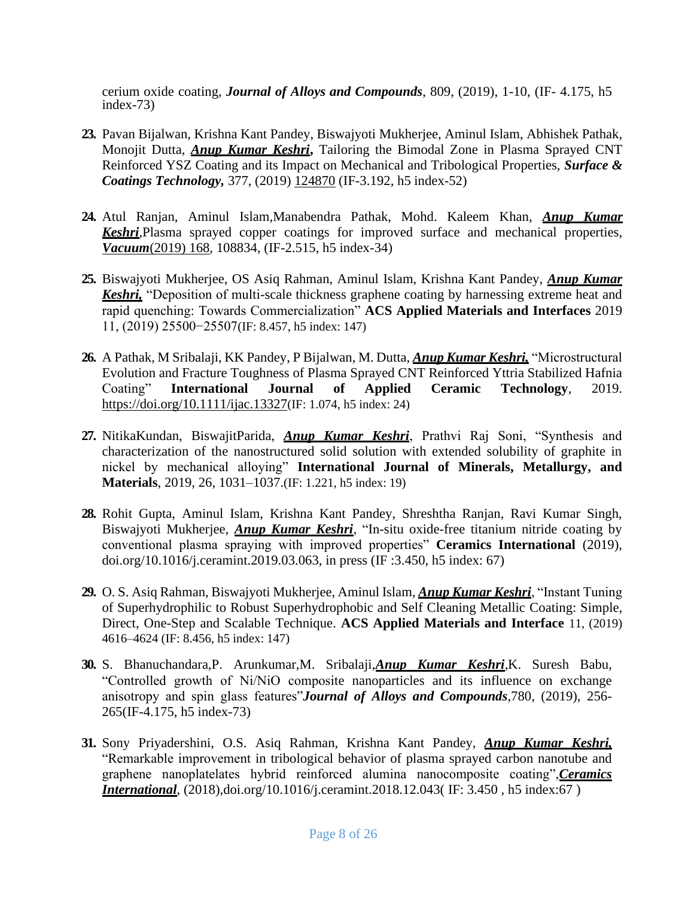cerium oxide coating, *Journal of Alloys and Compounds*, 809, (2019), 1-10, (IF- 4.175, h5 index-73)

- **23.** Pavan Bijalwan, Krishna Kant Pandey, Biswajyoti Mukherjee, Aminul Islam, Abhishek Pathak, Monojit Dutta, *Anup Kumar Keshri***,** Tailoring the Bimodal Zone in Plasma Sprayed CNT Reinforced YSZ Coating and its Impact on Mechanical and Tribological Properties, *Surface & Coatings Technology,* 377, (2019) 124870 (IF-3.192, h5 index-52)
- **24.** Atul Ranjan, Aminul Islam,Manabendra Pathak, Mohd. Kaleem Khan, *Anup Kumar Keshri*,Plasma sprayed copper coatings for improved surface and mechanical properties, *Vacuum*(2019) 168, 108834, (IF-2.515, h5 index-34)
- **25.** Biswajyoti Mukherjee, OS Asiq Rahman, Aminul Islam, Krishna Kant Pandey, *Anup Kumar Keshri,* "Deposition of multi-scale thickness graphene coating by harnessing extreme heat and rapid quenching: Towards Commercialization" **ACS Applied Materials and Interfaces** 2019 11, (2019) 25500−25507(IF: 8.457, h5 index: 147)
- **26.** A Pathak, M Sribalaji, KK Pandey, P Bijalwan, M. Dutta, *Anup Kumar Keshri,* "Microstructural Evolution and Fracture Toughness of Plasma Sprayed CNT Reinforced Yttria Stabilized Hafnia Coating" **International Journal of Applied Ceramic Technology**, 2019. https://doi.org/10.1111/ijac.13327(IF: 1.074, h5 index: 24)
- **27.** NitikaKundan, BiswajitParida, *Anup Kumar Keshri*, Prathvi Raj Soni, "Synthesis and characterization of the nanostructured solid solution with extended solubility of graphite in nickel by mechanical alloying" **International Journal of Minerals, Metallurgy, and Materials**, 2019, 26, 1031–1037.(IF: 1.221, h5 index: 19)
- **28.** Rohit Gupta, Aminul Islam, Krishna Kant Pandey, Shreshtha Ranjan, Ravi Kumar Singh, Biswajyoti Mukherjee, *Anup Kumar Keshri*, "In-situ oxide-free titanium nitride coating by conventional plasma spraying with improved properties" **Ceramics International** (2019), doi.org/10.1016/j.ceramint.2019.03.063, in press (IF :3.450, h5 index: 67)
- **29.** O. S. Asiq Rahman, Biswajyoti Mukherjee, Aminul Islam, *Anup Kumar Keshri*, "Instant Tuning of Superhydrophilic to Robust Superhydrophobic and Self Cleaning Metallic Coating: Simple, Direct, One-Step and Scalable Technique. **ACS Applied Materials and Interface** 11, (2019) 4616–4624 (IF: 8.456, h5 index: 147)
- **30.** S. Bhanuchandara,P. Arunkumar,M. Sribalaji,*Anup Kumar Keshri*,K. Suresh Babu, "Controlled growth of Ni/NiO composite nanoparticles and its influence on exchange anisotropy and spin glass features"*Journal of Alloys and Compounds*,780, (2019), 256- 265(IF-4.175, h5 index-73)
- **31.** Sony Priyadershini, O.S. Asiq Rahman, Krishna Kant Pandey, *Anup Kumar Keshri,* "Remarkable improvement in tribological behavior of plasma sprayed carbon nanotube and graphene nanoplatelates hybrid reinforced alumina nanocomposite coating",*Ceramics International*, (2018),doi.org/10.1016/j.ceramint.2018.12.043(IF: 3.450, h5 index:67)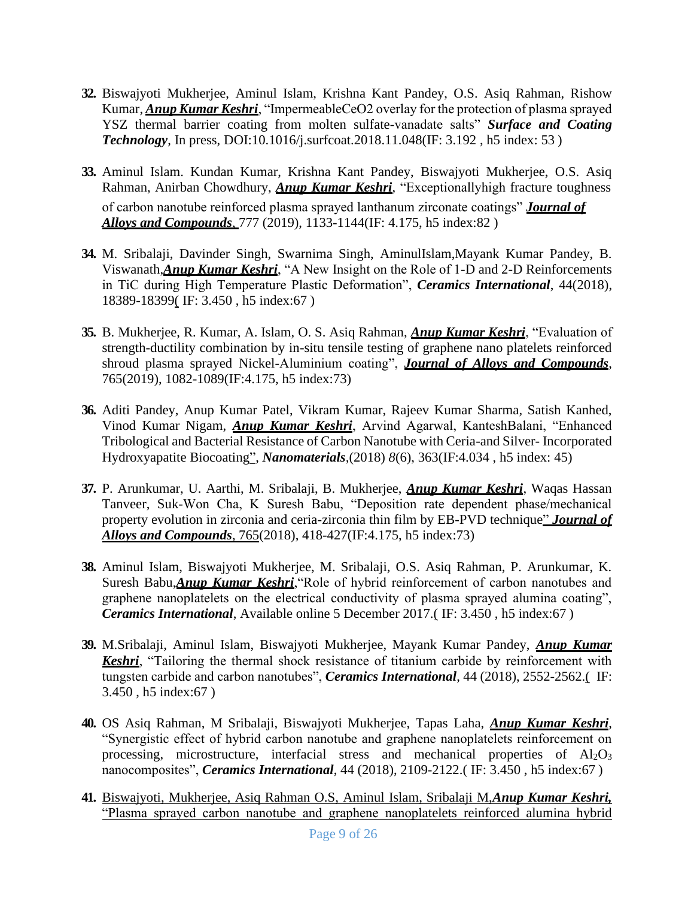- **32.** Biswajyoti Mukherjee, Aminul Islam, Krishna Kant Pandey, O.S. Asiq Rahman, Rishow Kumar, *Anup Kumar Keshri*, "ImpermeableCeO2 overlay for the protection of plasma sprayed YSZ thermal barrier coating from molten sulfate-vanadate salts" *Surface and Coating Technology*, In press, DOI:10.1016/j.surfcoat.2018.11.048(IF: 3.192 , h5 index: 53 )
- **33.** Aminul Islam. Kundan Kumar, Krishna Kant Pandey, Biswajyoti Mukherjee, O.S. Asiq Rahman, Anirban Chowdhury, *Anup Kumar Keshri*, "Exceptionallyhigh fracture toughness of carbon nanotube reinforced plasma sprayed lanthanum zirconate coatings" *Journal of Alloys and Compounds*, 777 (2019), 1133-1144(IF: 4.175, h5 index:82 )
- **34.** M. Sribalaji, Davinder Singh, Swarnima Singh, AminulIslam,Mayank Kumar Pandey, B. Viswanath,*Anup Kumar Keshri*, "A New Insight on the Role of 1-D and 2-D Reinforcements in TiC during High Temperature Plastic Deformation", *Ceramics International*, 44(2018), 18389-18399( IF: 3.450 , h5 index:67 )
- **35.** B. Mukherjee, R. Kumar, A. Islam, O. S. Asiq Rahman, *Anup Kumar Keshri*, "Evaluation of strength-ductility combination by in-situ tensile testing of graphene nano platelets reinforced shroud plasma sprayed Nickel-Aluminium coating", *Journal of Alloys and Compounds*, 765(2019), 1082-1089(IF:4.175, h5 index:73)
- **36.** Aditi Pandey, Anup Kumar Patel, Vikram Kumar, Rajeev Kumar Sharma, Satish Kanhed, Vinod Kumar Nigam, *Anup Kumar Keshri*, Arvind Agarwal, KanteshBalani, "Enhanced Tribological and Bacterial Resistance of Carbon Nanotube with Ceria-and Silver- Incorporated Hydroxyapatite Biocoating", *Nanomaterials,*(2018) *8*(6), 363(IF:4.034 , h5 index: 45)
- **37.** P. Arunkumar, U. Aarthi, M. Sribalaji, B. Mukherjee, *Anup Kumar Keshri*, Waqas Hassan Tanveer, Suk-Won Cha, K Suresh Babu, "Deposition rate dependent phase/mechanical property evolution in zirconia and ceria-zirconia thin film by EB-PVD technique" *Journal of Alloys and Compounds*, 765(2018), 418-427(IF:4.175, h5 index:73)
- **38.** Aminul Islam, Biswajyoti Mukherjee, M. Sribalaji, O.S. Asiq Rahman, P. Arunkumar, K. Suresh Babu,*Anup Kumar Keshri*,"Role of hybrid reinforcement of carbon nanotubes and graphene nanoplatelets on the electrical conductivity of plasma sprayed alumina coating", *Ceramics International*, Available online 5 December 2017.( IF: 3.450 , h5 index:67 )
- **39.** M.Sribalaji, Aminul Islam, Biswajyoti Mukherjee, Mayank Kumar Pandey, *Anup Kumar Keshri*, "Tailoring the thermal shock resistance of titanium carbide by reinforcement with tungsten carbide and carbon nanotubes", *Ceramics International*, 44 (2018), 2552-2562.( IF: 3.450 , h5 index:67 )
- **40.** OS Asiq Rahman, M Sribalaji, Biswajyoti Mukherjee, Tapas Laha, *Anup Kumar Keshri*, "Synergistic effect of hybrid carbon nanotube and graphene nanoplatelets reinforcement on processing, microstructure, interfacial stress and mechanical properties of  $A1_2O_3$ nanocomposites", *Ceramics International*, 44 (2018), 2109-2122.( IF: 3.450 , h5 index:67 )
- **41.** Biswajyoti, Mukherjee, Asiq Rahman O.S, Aminul Islam, Sribalaji M,*Anup Kumar Keshri,*  "Plasma sprayed carbon nanotube and graphene nanoplatelets reinforced alumina hybrid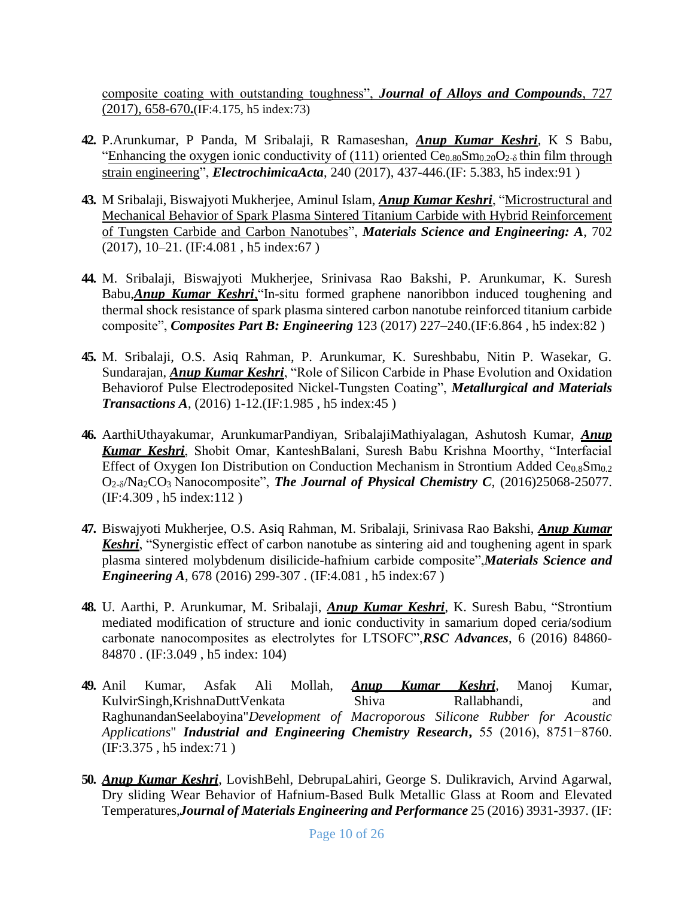composite coating with outstanding toughness", *Journal of Alloys and Compounds*, 727 (2017), 658-670**.**(IF:4.175, h5 index:73)

- **42.** P.Arunkumar, P Panda, M Sribalaji, R Ramaseshan, *Anup Kumar Keshri*, K S Babu, "Enhancing the oxygen ionic conductivity of (111) oriented  $Ce<sub>0.80</sub>Sm<sub>0.20</sub>O<sub>2-δ</sub>$  thin film through strain engineering", *ElectrochimicaActa*, 240 (2017), 437-446.(IF: 5.383, h5 index:91 )
- **43.** M Sribalaji, Biswajyoti Mukherjee, Aminul Islam, *Anup Kumar Keshri*, "Microstructural and Mechanical Behavior of Spark Plasma Sintered Titanium Carbide with Hybrid Reinforcement of Tungsten Carbide and Carbon Nanotubes", *Materials Science and Engineering: A*, 702 (2017), 10–21. (IF:4.081 , h5 index:67 )
- **44.** M. Sribalaji, Biswajyoti Mukherjee, Srinivasa Rao Bakshi, P. Arunkumar, K. Suresh Babu,*Anup Kumar Keshri,*"In-situ formed graphene nanoribbon induced toughening and thermal shock resistance of spark plasma sintered carbon nanotube reinforced titanium carbide composite", *Composites Part B: Engineering* 123 (2017) 227–240.(IF:6.864 , h5 index:82 )
- **45.** M. Sribalaji, O.S. Asiq Rahman, P. Arunkumar, K. Sureshbabu, Nitin P. Wasekar, G. Sundarajan, *Anup Kumar Keshri*, "Role of Silicon Carbide in Phase Evolution and Oxidation Behaviorof Pulse Electrodeposited Nickel-Tungsten Coating", *Metallurgical and Materials Transactions A*, (2016) 1-12.(IF:1.985 , h5 index:45 )
- **46.** AarthiUthayakumar, ArunkumarPandiyan, SribalajiMathiyalagan, Ashutosh Kumar, *Anup Kumar Keshri*, Shobit Omar, KanteshBalani, Suresh Babu Krishna Moorthy, "Interfacial Effect of Oxygen Ion Distribution on Conduction Mechanism in Strontium Added Ce $_{0.8}$ Sm $_{0.2}$ O2-δ/Na2CO3 Nanocomposite", *The Journal of Physical Chemistry C*, (2016)25068-25077. (IF:4.309 , h5 index:112 )
- **47.** Biswajyoti Mukherjee, O.S. Asiq Rahman, M. Sribalaji, Srinivasa Rao Bakshi, *Anup Kumar Keshri*, "Synergistic effect of carbon nanotube as sintering aid and toughening agent in spark plasma sintered molybdenum disilicide-hafnium carbide composite",*Materials Science and Engineering A*, 678 (2016) 299-307 . (IF:4.081 , h5 index:67 )
- **48.** U. Aarthi, P. Arunkumar, M. Sribalaji, *Anup Kumar Keshri*, K. Suresh Babu, "Strontium mediated modification of structure and ionic conductivity in samarium doped ceria/sodium carbonate nanocomposites as electrolytes for LTSOFC",*RSC Advances*, 6 (2016) 84860- 84870 . (IF:3.049 , h5 index: 104)
- **49.** Anil Kumar, Asfak Ali Mollah, *Anup Kumar Keshri*, Manoj Kumar, KulvirSingh,KrishnaDuttVenkata Shiva Rallabhandi, and RaghunandanSeelaboyina"*Development of Macroporous Silicone Rubber for Acoustic Applications*" *Industrial and Engineering Chemistry Research***,** 55 (2016), 8751−8760. (IF:3.375 , h5 index:71 )
- **50.** *Anup Kumar Keshri*, LovishBehl, DebrupaLahiri, George S. Dulikravich, Arvind Agarwal, Dry sliding Wear Behavior of Hafnium-Based Bulk Metallic Glass at Room and Elevated Temperatures,*Journal of Materials Engineering and Performance* 25 (2016) 3931-3937. (IF: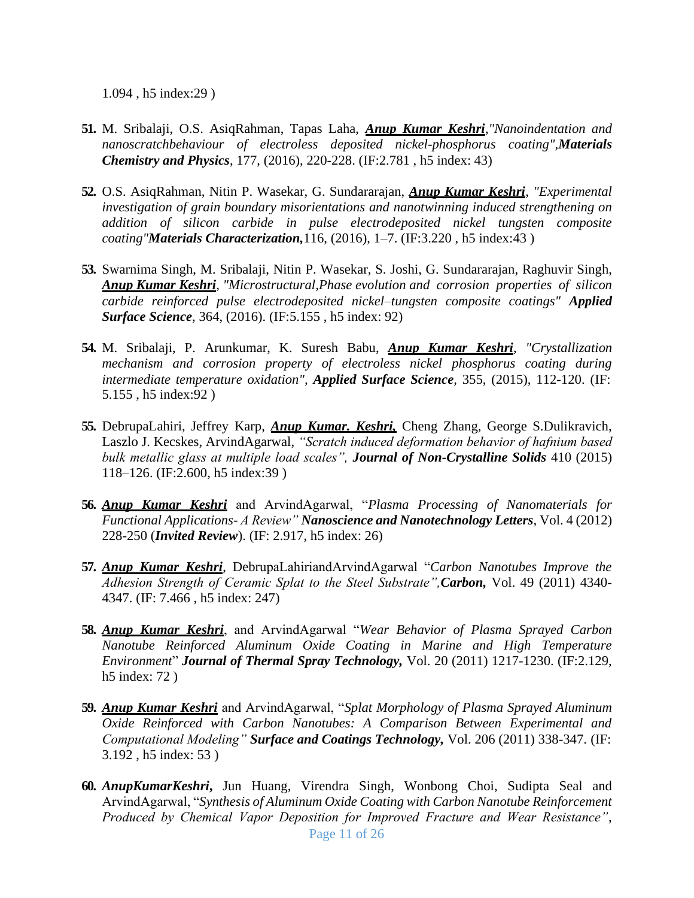1.094 , h5 index:29 )

- **51.** M. Sribalaji, O.S. AsiqRahman, Tapas Laha, *Anup Kumar Keshri*,*"Nanoindentation and nanoscratchbehaviour of electroless deposited nickel-phosphorus coating",Materials Chemistry and Physics*, 177, (2016), 220-228. (IF:2.781 , h5 index: 43)
- **52.** O.S. AsiqRahman, Nitin P. Wasekar, G. Sundararajan, *Anup Kumar Keshri*, *"Experimental investigation of grain boundary misorientations and nanotwinning induced strengthening on addition of silicon carbide in pulse electrodeposited nickel tungsten composite coating"Materials Characterization,*116, (2016), 1–7. (IF:3.220 , h5 index:43 )
- **53.** Swarnima Singh, M. Sribalaji, Nitin P. Wasekar, S. Joshi, G. Sundararajan, Raghuvir Singh, *Anup Kumar Keshri*, *"Microstructural,Phase evolution and corrosion properties of silicon carbide reinforced pulse electrodeposited nickel–tungsten composite coatings" Applied Surface Science*, 364, (2016). (IF:5.155 , h5 index: 92)
- **54.** M. Sribalaji, P. Arunkumar, K. Suresh Babu, *Anup Kumar Keshri*, *"Crystallization mechanism and corrosion property of electroless nickel phosphorus coating during intermediate temperature oxidation", Applied Surface Science,* 355, (2015), 112-120. (IF: 5.155 , h5 index:92 )
- **55.** DebrupaLahiri, Jeffrey Karp, *Anup Kumar. Keshri,* Cheng Zhang, George S.Dulikravich, Laszlo J. Kecskes, ArvindAgarwal, *"Scratch induced deformation behavior of hafnium based bulk metallic glass at multiple load scales", Journal of Non-Crystalline Solids* 410 (2015) 118–126. (IF:2.600, h5 index:39 )
- **56.** *Anup Kumar Keshri* and ArvindAgarwal, "*Plasma Processing of Nanomaterials for Functional Applications- A Review" Nanoscience and Nanotechnology Letters*, Vol. 4 (2012) 228-250 (*Invited Review*). (IF: 2.917, h5 index: 26)
- **57.** *Anup Kumar Keshri*, DebrupaLahiriandArvindAgarwal "*Carbon Nanotubes Improve the Adhesion Strength of Ceramic Splat to the Steel Substrate",Carbon,* Vol. 49 (2011) 4340- 4347. (IF: 7.466 , h5 index: 247)
- **58.** *Anup Kumar Keshri*, and ArvindAgarwal "*Wear Behavior of Plasma Sprayed Carbon Nanotube Reinforced Aluminum Oxide Coating in Marine and High Temperature Environment*" *Journal of Thermal Spray Technology,* Vol. 20 (2011) 1217-1230. (IF:2.129, h5 index: 72 )
- **59.** *Anup Kumar Keshri* and ArvindAgarwal, "*Splat Morphology of Plasma Sprayed Aluminum Oxide Reinforced with Carbon Nanotubes: A Comparison Between Experimental and Computational Modeling" Surface and Coatings Technology,* Vol. 206 (2011) 338-347. (IF: 3.192 , h5 index: 53 )
- Page 11 of 26 **60.** *AnupKumarKeshri***,** Jun Huang, Virendra Singh, Wonbong Choi, Sudipta Seal and ArvindAgarwal, "*Synthesis of Aluminum Oxide Coating with Carbon Nanotube Reinforcement Produced by Chemical Vapor Deposition for Improved Fracture and Wear Resistance"*,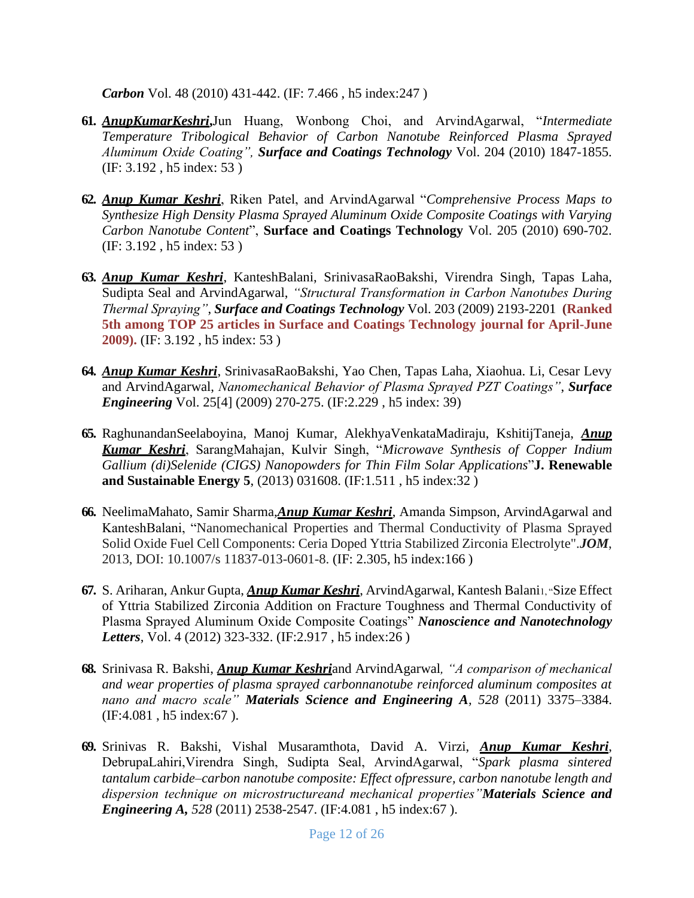*Carbon* Vol. 48 (2010) 431-442. (IF: 7.466 , h5 index:247 )

- **61.** *AnupKumarKeshri***,**Jun Huang, Wonbong Choi, and ArvindAgarwal, "*Intermediate Temperature Tribological Behavior of Carbon Nanotube Reinforced Plasma Sprayed Aluminum Oxide Coating", Surface and Coatings Technology* Vol. 204 (2010) 1847-1855. (IF: 3.192 , h5 index: 53 )
- **62.** *Anup Kumar Keshri*, Riken Patel, and ArvindAgarwal "*Comprehensive Process Maps to Synthesize High Density Plasma Sprayed Aluminum Oxide Composite Coatings with Varying Carbon Nanotube Content*", **Surface and Coatings Technology** Vol. 205 (2010) 690-702. (IF: 3.192 , h5 index: 53 )
- **63.** *Anup Kumar Keshri*, KanteshBalani, SrinivasaRaoBakshi, Virendra Singh, Tapas Laha, Sudipta Seal and ArvindAgarwal, *"Structural Transformation in Carbon Nanotubes During Thermal Spraying"*, *Surface and Coatings Technology* Vol. 203 (2009) 2193-2201 **(Ranked 5th among TOP 25 articles in Surface and Coatings Technology journal for April-June 2009).** (IF: 3.192 , h5 index: 53 )
- **64.** *Anup Kumar Keshri*, SrinivasaRaoBakshi, Yao Chen, Tapas Laha, Xiaohua. Li, Cesar Levy and ArvindAgarwal, *Nanomechanical Behavior of Plasma Sprayed PZT Coatings"*, *Surface Engineering* Vol. 25[4] (2009) 270-275. (IF:2.229 , h5 index: 39)
- **65.** RaghunandanSeelaboyina, Manoj Kumar, AlekhyaVenkataMadiraju, KshitijTaneja, *Anup Kumar Keshri*, SarangMahajan, Kulvir Singh, "*Microwave Synthesis of Copper Indium Gallium (di)Selenide (CIGS) Nanopowders for Thin Film Solar Applications*"**J. Renewable and Sustainable Energy 5**, (2013) 031608. (IF:1.511 , h5 index:32 )
- **66.** NeelimaMahato, Samir Sharma,*Anup Kumar Keshri*, Amanda Simpson, ArvindAgarwal and KanteshBalani, "Nanomechanical Properties and Thermal Conductivity of Plasma Sprayed Solid Oxide Fuel Cell Components: Ceria Doped Yttria Stabilized Zirconia Electrolyte".*JOM*, 2013, DOI: 10.1007/s 11837-013-0601-8. (IF: 2.305, h5 index:166 )
- **67.** S. Ariharan, Ankur Gupta, *Anup Kumar Keshri*, ArvindAgarwal, Kantesh Balani1, "Size Effect of Yttria Stabilized Zirconia Addition on Fracture Toughness and Thermal Conductivity of Plasma Sprayed Aluminum Oxide Composite Coatings" *Nanoscience and Nanotechnology Letters*, Vol. 4 (2012) 323-332. (IF:2.917 , h5 index:26 )
- **68.** Srinivasa R. Bakshi, *Anup Kumar Keshri*and ArvindAgarwal*, "A comparison of mechanical and wear properties of plasma sprayed carbonnanotube reinforced aluminum composites at nano and macro scale" Materials Science and Engineering A, 528* (2011) 3375–3384. (IF:4.081 , h5 index:67 ).
- **69.** Srinivas R. Bakshi, Vishal Musaramthota, David A. Virzi, *Anup Kumar Keshri*, DebrupaLahiri,Virendra Singh, Sudipta Seal, ArvindAgarwal, "*Spark plasma sintered tantalum carbide–carbon nanotube composite: Effect ofpressure, carbon nanotube length and dispersion technique on microstructureand mechanical properties"Materials Science and Engineering A, 528* (2011) 2538-2547. (IF:4.081 , h5 index:67 ).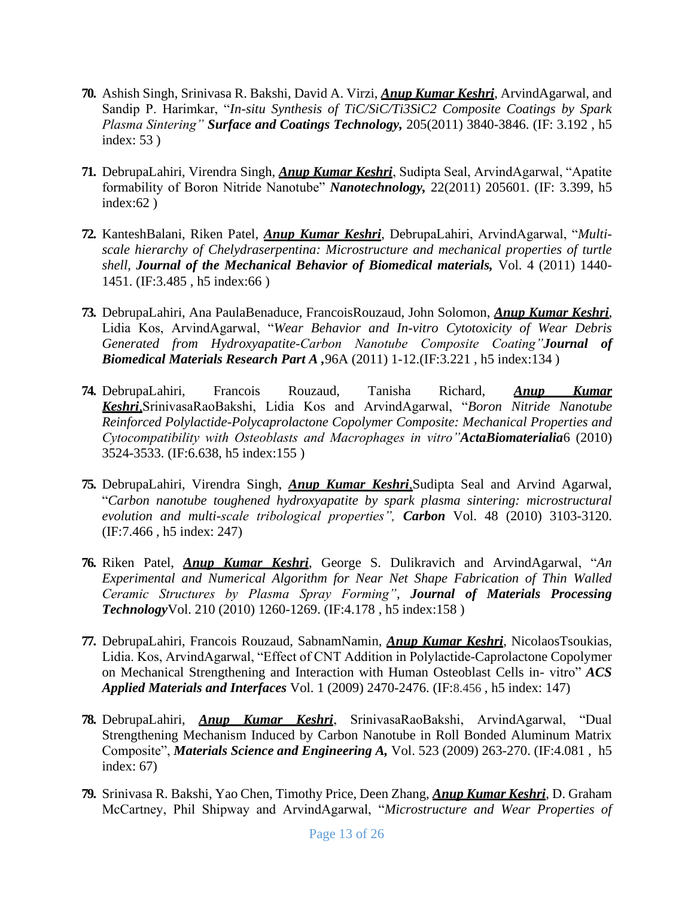- **70.** Ashish Singh, Srinivasa R. Bakshi, David A. Virzi, *Anup Kumar Keshri*, ArvindAgarwal, and Sandip P. Harimkar, "*In-situ Synthesis of TiC/SiC/Ti3SiC2 Composite Coatings by Spark Plasma Sintering" Surface and Coatings Technology,* 205(2011) 3840-3846. (IF: 3.192 , h5 index: 53 )
- **71.** DebrupaLahiri, Virendra Singh, *Anup Kumar Keshri*, Sudipta Seal, ArvindAgarwal, "Apatite formability of Boron Nitride Nanotube" *Nanotechnology,* 22(2011) 205601. (IF: 3.399, h5  $index:62$ )
- **72.** KanteshBalani, Riken Patel, *Anup Kumar Keshri*, DebrupaLahiri, ArvindAgarwal, "*Multiscale hierarchy of Chelydraserpentina: Microstructure and mechanical properties of turtle shell, Journal of the Mechanical Behavior of Biomedical materials,* Vol. 4 (2011) 1440- 1451. (IF:3.485 , h5 index:66 )
- **73.** DebrupaLahiri, Ana PaulaBenaduce, FrancoisRouzaud, John Solomon, *Anup Kumar Keshri*, Lidia Kos, ArvindAgarwal, "*Wear Behavior and In-vitro Cytotoxicity of Wear Debris Generated from Hydroxyapatite-Carbon Nanotube Composite Coating"Journal of Biomedical Materials Research Part A ,*96A (2011) 1-12.(IF:3.221 , h5 index:134 )
- **74.** DebrupaLahiri, Francois Rouzaud, Tanisha Richard, *Anup Kumar Keshri,*SrinivasaRaoBakshi, Lidia Kos and ArvindAgarwal, "*Boron Nitride Nanotube Reinforced Polylactide-Polycaprolactone Copolymer Composite: Mechanical Properties and Cytocompatibility with Osteoblasts and Macrophages in vitro"ActaBiomaterialia*6 (2010) 3524-3533. (IF:6.638, h5 index:155 )
- **75.** DebrupaLahiri, Virendra Singh, *Anup Kumar Keshri,*Sudipta Seal and Arvind Agarwal, "*Carbon nanotube toughened hydroxyapatite by spark plasma sintering: microstructural evolution and multi-scale tribological properties", Carbon* Vol. 48 (2010) 3103-3120. (IF:7.466 , h5 index: 247)
- **76.** Riken Patel, *Anup Kumar Keshri*, George S. Dulikravich and ArvindAgarwal, "*An Experimental and Numerical Algorithm for Near Net Shape Fabrication of Thin Walled Ceramic Structures by Plasma Spray Forming"*, *Journal of Materials Processing Technology*Vol. 210 (2010) 1260-1269. (IF:4.178 , h5 index:158 )
- **77.** DebrupaLahiri, Francois Rouzaud, SabnamNamin, *Anup Kumar Keshri*, NicolaosTsoukias, Lidia. Kos, ArvindAgarwal, "Effect of CNT Addition in Polylactide-Caprolactone Copolymer on Mechanical Strengthening and Interaction with Human Osteoblast Cells in- vitro" *ACS Applied Materials and Interfaces* Vol. 1 (2009) 2470-2476. (IF:8.456 , h5 index: 147)
- **78.** DebrupaLahiri, *Anup Kumar Keshri*, SrinivasaRaoBakshi, ArvindAgarwal, "Dual Strengthening Mechanism Induced by Carbon Nanotube in Roll Bonded Aluminum Matrix Composite", *Materials Science and Engineering A,* Vol. 523 (2009) 263-270. (IF:4.081 , h5 index: 67)
- **79.** Srinivasa R. Bakshi, Yao Chen, Timothy Price, Deen Zhang, *Anup Kumar Keshri*, D. Graham McCartney, Phil Shipway and ArvindAgarwal, "*Microstructure and Wear Properties of*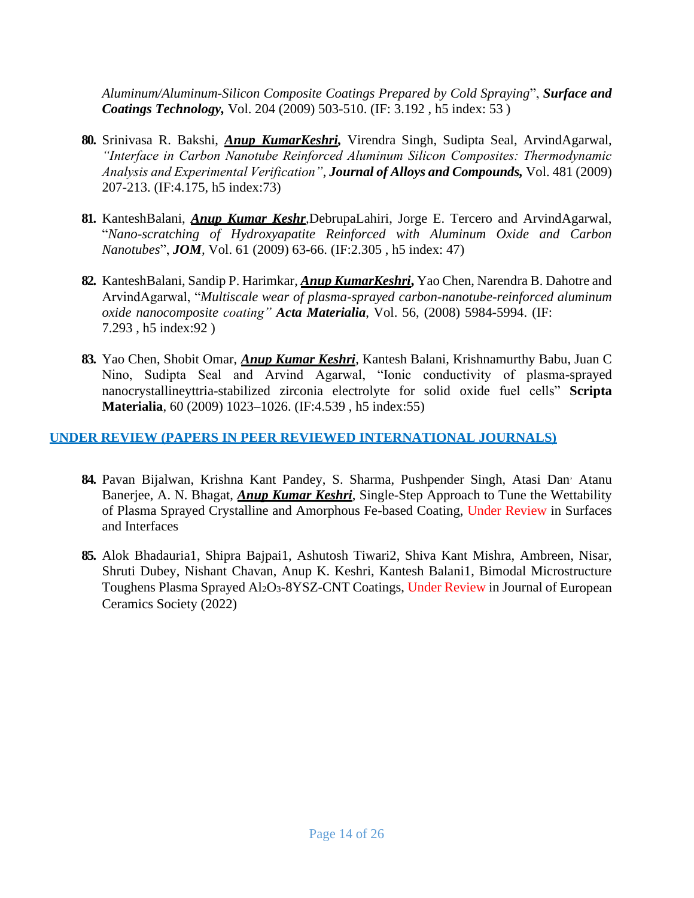*Aluminum/Aluminum-Silicon Composite Coatings Prepared by Cold Spraying*", *Surface and Coatings Technology,* Vol. 204 (2009) 503-510. (IF: 3.192 , h5 index: 53 )

- **80.** Srinivasa R. Bakshi, *Anup KumarKeshri,* Virendra Singh, Sudipta Seal, ArvindAgarwal, *"Interface in Carbon Nanotube Reinforced Aluminum Silicon Composites: Thermodynamic Analysis and Experimental Verification"*, *Journal of Alloys and Compounds,* Vol. 481 (2009) 207-213. (IF:4.175, h5 index:73)
- **81.** KanteshBalani, *Anup Kumar Keshr,*DebrupaLahiri, Jorge E. Tercero and ArvindAgarwal, "*Nano-scratching of Hydroxyapatite Reinforced with Aluminum Oxide and Carbon Nanotubes*", *JOM,* Vol. 61 (2009) 63-66. (IF:2.305 , h5 index: 47)
- **82.** KanteshBalani, Sandip P. Harimkar, *Anup KumarKeshri***,** Yao Chen, Narendra B. Dahotre and ArvindAgarwal, "*Multiscale wear of plasma-sprayed carbon-nanotube-reinforced aluminum oxide nanocomposite coating" Acta Materialia*, Vol. 56, (2008) 5984-5994. (IF: 7.293 , h5 index:92 )
- **83.** Yao Chen, Shobit Omar, *Anup Kumar Keshri*, Kantesh Balani, Krishnamurthy Babu, Juan C Nino, Sudipta Seal and Arvind Agarwal, "Ionic conductivity of plasma-sprayed nanocrystallineyttria-stabilized zirconia electrolyte for solid oxide fuel cells" **Scripta Materialia**, 60 (2009) 1023–1026. (IF:4.539 , h5 index:55)

#### **UNDER REVIEW (PAPERS IN PEER REVIEWED INTERNATIONAL JOURNALS)**

- 84. Pavan Bijalwan, Krishna Kant Pandey, S. Sharma, Pushpender Singh, Atasi Dan<sup>,</sup> Atanu Banerjee, A. N. Bhagat, *Anup Kumar Keshri*, Single-Step Approach to Tune the Wettability of Plasma Sprayed Crystalline and Amorphous Fe-based Coating, Under Review in Surfaces and Interfaces
- **85.** Alok Bhadauria1, Shipra Bajpai1, Ashutosh Tiwari2, Shiva Kant Mishra, Ambreen, Nisar, Shruti Dubey, Nishant Chavan, Anup K. Keshri, Kantesh Balani1, Bimodal Microstructure Toughens Plasma Sprayed Al<sub>2</sub>O<sub>3</sub>-8YSZ-CNT Coatings, Under Review in Journal of European Ceramics Society (2022)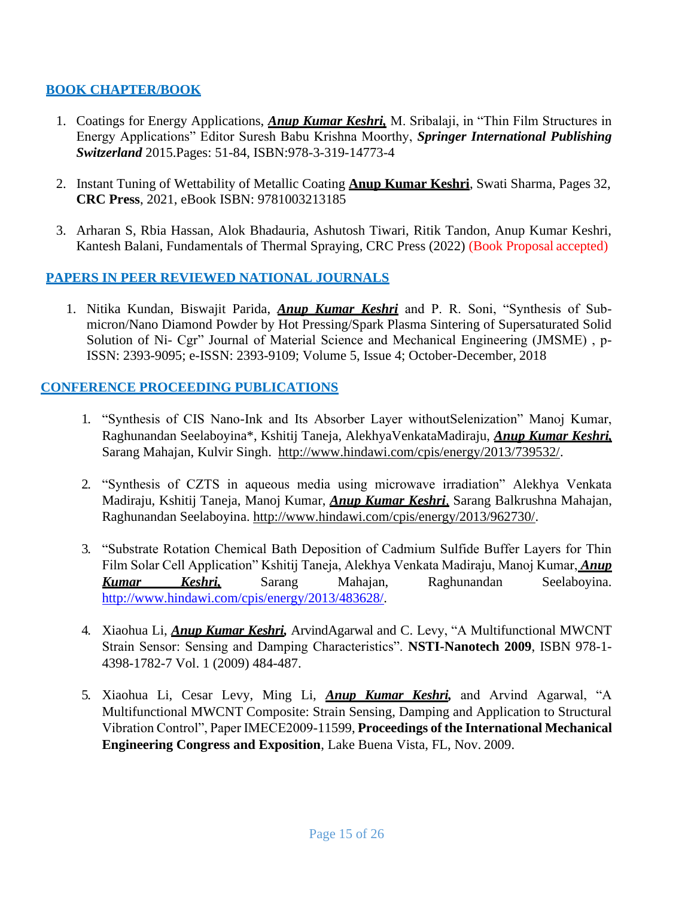### **BOOK CHAPTER/BOOK**

- 1. Coatings for Energy Applications, *Anup Kumar Keshri,* M. Sribalaji, in "Thin Film Structures in Energy Applications" Editor Suresh Babu Krishna Moorthy, *Springer International Publishing Switzerland* 2015.Pages: 51-84, ISBN:978-3-319-14773-4
- 2. Instant Tuning of Wettability of Metallic Coating **Anup Kumar Keshri**, Swati Sharma, Pages 32, **CRC Press**, 2021, eBook ISBN: 9781003213185
- 3. Arharan S, Rbia Hassan, Alok Bhadauria, Ashutosh Tiwari, Ritik Tandon, Anup Kumar Keshri, Kantesh Balani, Fundamentals of Thermal Spraying, CRC Press (2022) (Book Proposal accepted)

#### **PAPERS IN PEER REVIEWED NATIONAL JOURNALS**

1. Nitika Kundan, Biswajit Parida, *Anup Kumar Keshri* and P. R. Soni, "Synthesis of Submicron/Nano Diamond Powder by Hot Pressing/Spark Plasma Sintering of Supersaturated Solid Solution of Ni- Cgr" Journal of Material Science and Mechanical Engineering (JMSME) , p-ISSN: 2393-9095; e-ISSN: 2393-9109; Volume 5, Issue 4; October-December, 2018

#### **CONFERENCE PROCEEDING PUBLICATIONS**

- 1. "Synthesis of CIS Nano-Ink and Its Absorber Layer withoutSelenization" Manoj Kumar, Raghunandan Seelaboyina\*, Kshitij Taneja, AlekhyaVenkataMadiraju, *Anup Kumar Keshri,* Sarang Mahajan, Kulvir Singh. [http://www.hindawi.com/cpis/energy/2013/739532/.](http://www.hindawi.com/cpis/energy/2013/739532/)
- 2. "Synthesis of CZTS in aqueous media using microwave irradiation" Alekhya Venkata Madiraju, Kshitij Taneja, Manoj Kumar, *Anup Kumar Keshri,* Sarang Balkrushna Mahajan, Raghunandan Seelaboyina. [http://www.hindawi.com/cpis/energy/2013/962730/.](http://www.hindawi.com/cpis/energy/2013/962730/)
- 3. "Substrate Rotation Chemical Bath Deposition of Cadmium Sulfide Buffer Layers for Thin Film Solar Cell Application" Kshitij Taneja, Alekhya Venkata Madiraju, Manoj Kumar, *Anup Kumar Keshri,* Sarang Mahajan, Raghunandan Seelaboyina. [http://www.hindawi.com/cpis/energy/2013/483628/.](http://www.hindawi.com/cpis/energy/2013/483628/)
- 4. Xiaohua Li, *Anup Kumar Keshri,* ArvindAgarwal and C. Levy, "A Multifunctional MWCNT Strain Sensor: Sensing and Damping Characteristics". **NSTI-Nanotech 2009**, ISBN 978-1- 4398-1782-7 Vol. 1 (2009) 484-487.
- 5. Xiaohua Li, Cesar Levy, Ming Li, *Anup Kumar Keshri,* and Arvind Agarwal, "A Multifunctional MWCNT Composite: Strain Sensing, Damping and Application to Structural Vibration Control", Paper IMECE2009-11599, **Proceedings of the International Mechanical Engineering Congress and Exposition**, Lake Buena Vista, FL, Nov. 2009.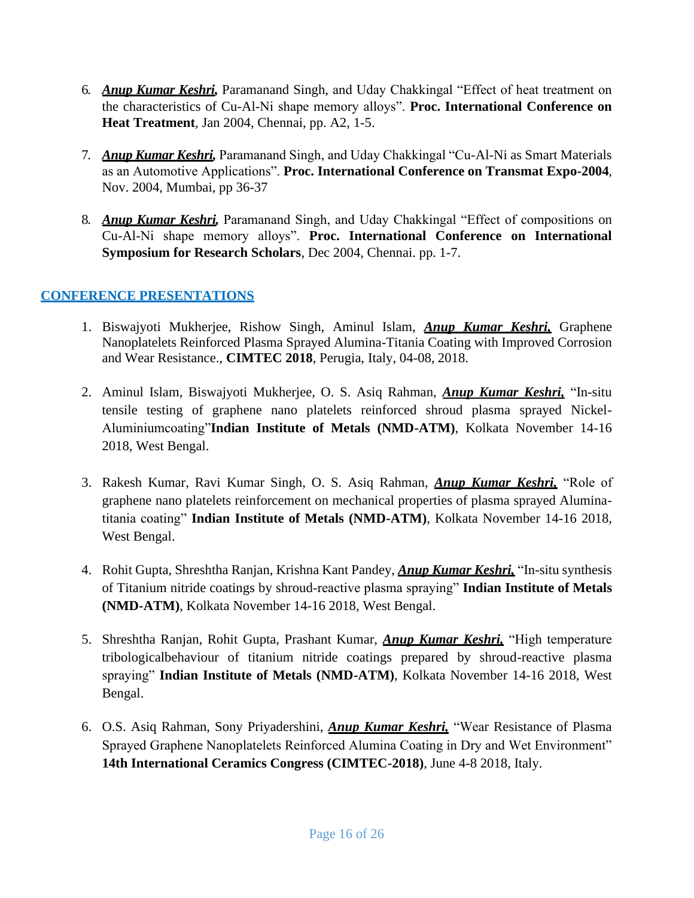- 6. *Anup Kumar Keshri,* Paramanand Singh, and Uday Chakkingal "Effect of heat treatment on the characteristics of Cu-Al-Ni shape memory alloys". **Proc. International Conference on Heat Treatment**, Jan 2004, Chennai, pp. A2, 1-5.
- 7. *Anup Kumar Keshri,* Paramanand Singh, and Uday Chakkingal "Cu-Al-Ni as Smart Materials as an Automotive Applications". **Proc. International Conference on Transmat Expo-2004**, Nov. 2004, Mumbai, pp 36-37
- 8. *Anup Kumar Keshri,* Paramanand Singh, and Uday Chakkingal "Effect of compositions on Cu-Al-Ni shape memory alloys". **Proc. International Conference on International Symposium for Research Scholars**, Dec 2004, Chennai. pp. 1-7.

### **CONFERENCE PRESENTATIONS**

- 1. Biswajyoti Mukherjee, Rishow Singh, Aminul Islam, *Anup Kumar Keshri,* Graphene Nanoplatelets Reinforced Plasma Sprayed Alumina-Titania Coating with Improved Corrosion and Wear Resistance., **CIMTEC 2018**, Perugia, Italy, 04-08, 2018.
- 2. Aminul Islam, Biswajyoti Mukherjee, O. S. Asiq Rahman, *Anup Kumar Keshri,* "In-situ tensile testing of graphene nano platelets reinforced shroud plasma sprayed Nickel-Aluminiumcoating"**Indian Institute of Metals (NMD-ATM)**, Kolkata November 14-16 2018, West Bengal.
- 3. Rakesh Kumar, Ravi Kumar Singh, O. S. Asiq Rahman, *Anup Kumar Keshri,* "Role of graphene nano platelets reinforcement on mechanical properties of plasma sprayed Aluminatitania coating" **Indian Institute of Metals (NMD-ATM)**, Kolkata November 14-16 2018, West Bengal.
- 4. Rohit Gupta, Shreshtha Ranjan, Krishna Kant Pandey, *Anup Kumar Keshri,* "In-situ synthesis of Titanium nitride coatings by shroud-reactive plasma spraying" **Indian Institute of Metals (NMD-ATM)**, Kolkata November 14-16 2018, West Bengal.
- 5. Shreshtha Ranjan, Rohit Gupta, Prashant Kumar, *Anup Kumar Keshri,* "High temperature tribologicalbehaviour of titanium nitride coatings prepared by shroud-reactive plasma spraying" **Indian Institute of Metals (NMD-ATM)**, Kolkata November 14-16 2018, West Bengal.
- 6. O.S. Asiq Rahman, Sony Priyadershini, *Anup Kumar Keshri,* "Wear Resistance of Plasma Sprayed Graphene Nanoplatelets Reinforced Alumina Coating in Dry and Wet Environment" **14th International Ceramics Congress (CIMTEC-2018)**, June 4-8 2018, Italy.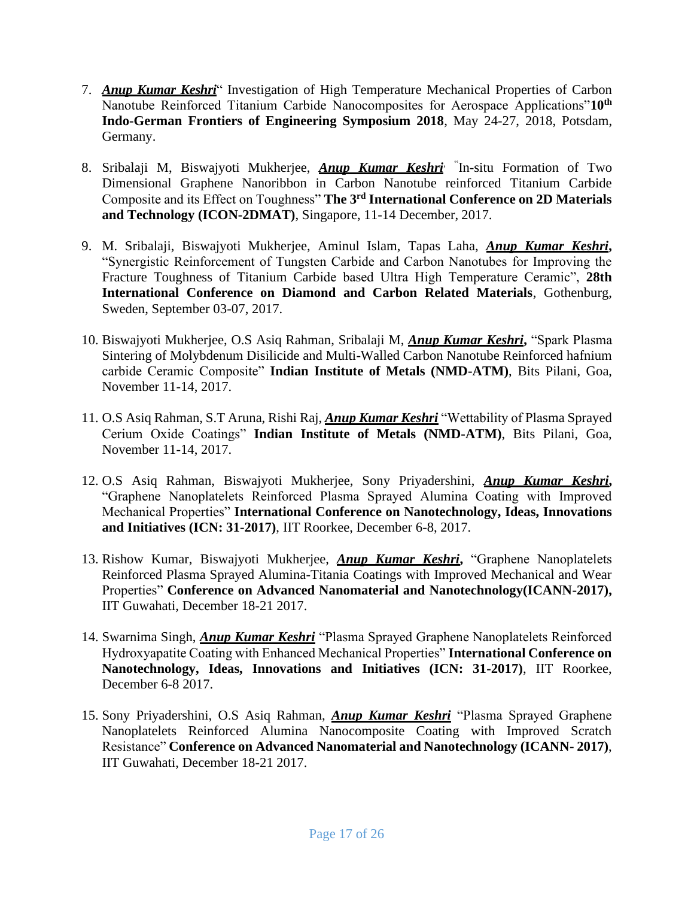- 7. *Anup Kumar Keshri*" Investigation of High Temperature Mechanical Properties of Carbon Nanotube Reinforced Titanium Carbide Nanocomposites for Aerospace Applications"**10th Indo-German Frontiers of Engineering Symposium 2018**, May 24-27, 2018, Potsdam, Germany.
- 8. Sribalaji M, Biswajyoti Mukherjee, *Anup Kumar Keshri*, " In-situ Formation of Two Dimensional Graphene Nanoribbon in Carbon Nanotube reinforced Titanium Carbide Composite and its Effect on Toughness" **The 3rd International Conference on 2D Materials and Technology (ICON-2DMAT)**, Singapore, 11-14 December, 2017.
- 9. M. Sribalaji, Biswajyoti Mukherjee, Aminul Islam, Tapas Laha, *Anup Kumar Keshri***,**  "Synergistic Reinforcement of Tungsten Carbide and Carbon Nanotubes for Improving the Fracture Toughness of Titanium Carbide based Ultra High Temperature Ceramic", **28th International Conference on Diamond and Carbon Related Materials**, Gothenburg, Sweden, September 03-07, 2017.
- 10. Biswajyoti Mukherjee, O.S Asiq Rahman, Sribalaji M, *Anup Kumar Keshri***,** "Spark Plasma Sintering of Molybdenum Disilicide and Multi-Walled Carbon Nanotube Reinforced hafnium carbide Ceramic Composite" **Indian Institute of Metals (NMD-ATM)**, Bits Pilani, Goa, November 11-14, 2017.
- 11. O.S Asiq Rahman, S.T Aruna, Rishi Raj, *Anup Kumar Keshri* "Wettability of Plasma Sprayed Cerium Oxide Coatings" **Indian Institute of Metals (NMD-ATM)**, Bits Pilani, Goa, November 11-14, 2017.
- 12. O.S Asiq Rahman, Biswajyoti Mukherjee, Sony Priyadershini, *Anup Kumar Keshri***,**  "Graphene Nanoplatelets Reinforced Plasma Sprayed Alumina Coating with Improved Mechanical Properties" **International Conference on Nanotechnology, Ideas, Innovations and Initiatives (ICN: 31-2017)**, IIT Roorkee, December 6-8, 2017.
- 13. Rishow Kumar, Biswajyoti Mukherjee, *Anup Kumar Keshri***,** "Graphene Nanoplatelets Reinforced Plasma Sprayed Alumina-Titania Coatings with Improved Mechanical and Wear Properties" **Conference on Advanced Nanomaterial and Nanotechnology(ICANN-2017),**  IIT Guwahati, December 18-21 2017.
- 14. Swarnima Singh, *Anup Kumar Keshri* "Plasma Sprayed Graphene Nanoplatelets Reinforced Hydroxyapatite Coating with Enhanced Mechanical Properties" **International Conference on Nanotechnology, Ideas, Innovations and Initiatives (ICN: 31-2017)**, IIT Roorkee, December 6-8 2017.
- 15. Sony Priyadershini, O.S Asiq Rahman, *Anup Kumar Keshri* "Plasma Sprayed Graphene Nanoplatelets Reinforced Alumina Nanocomposite Coating with Improved Scratch Resistance" **Conference on Advanced Nanomaterial and Nanotechnology (ICANN- 2017)**, IIT Guwahati, December 18-21 2017.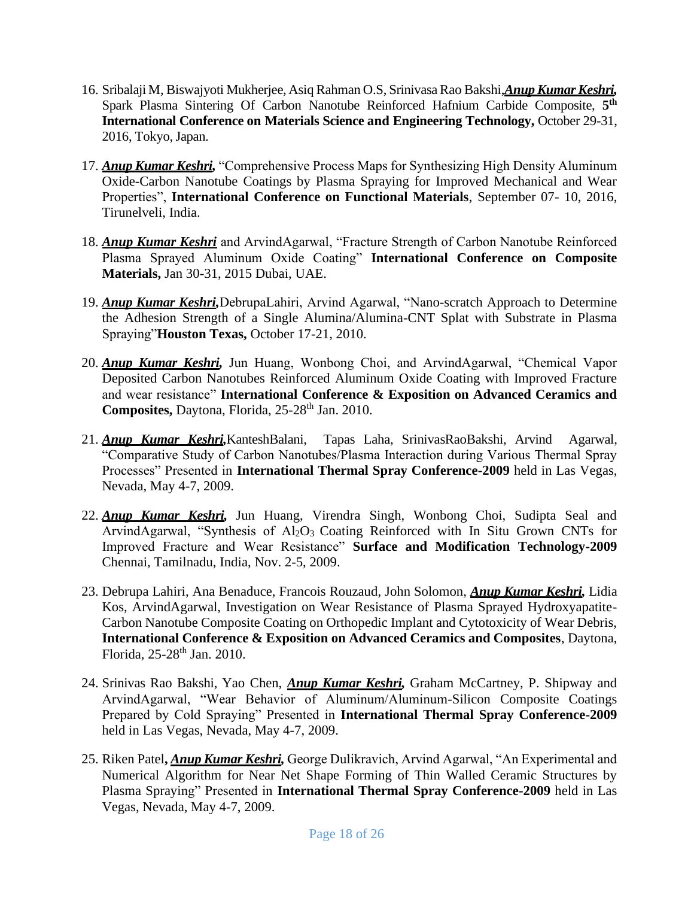- 16. Sribalaji M, Biswajyoti Mukherjee, Asiq Rahman O.S, Srinivasa Rao Bakshi,*Anup Kumar Keshri,*  Spark Plasma Sintering Of Carbon Nanotube Reinforced Hafnium Carbide Composite, **5 th International Conference on Materials Science and Engineering Technology,** October 29-31, 2016, Tokyo, Japan.
- 17. *Anup Kumar Keshri,* "Comprehensive Process Maps for Synthesizing High Density Aluminum Oxide-Carbon Nanotube Coatings by Plasma Spraying for Improved Mechanical and Wear Properties", **International Conference on Functional Materials**, September 07- 10, 2016, Tirunelveli, India.
- 18. *Anup Kumar Keshri* and ArvindAgarwal, "Fracture Strength of Carbon Nanotube Reinforced Plasma Sprayed Aluminum Oxide Coating" **International Conference on Composite Materials,** Jan 30-31, 2015 Dubai, UAE.
- 19. *Anup Kumar Keshri,*DebrupaLahiri, Arvind Agarwal, "Nano-scratch Approach to Determine the Adhesion Strength of a Single Alumina/Alumina-CNT Splat with Substrate in Plasma Spraying"**Houston Texas,** October 17-21, 2010.
- 20. *Anup Kumar Keshri,* Jun Huang, Wonbong Choi, and ArvindAgarwal, "Chemical Vapor Deposited Carbon Nanotubes Reinforced Aluminum Oxide Coating with Improved Fracture and wear resistance" **International Conference & Exposition on Advanced Ceramics and Composites, Daytona, Florida, 25-28<sup>th</sup> Jan. 2010.**
- 21. *Anup Kumar Keshri,*KanteshBalani, Tapas Laha, SrinivasRaoBakshi, Arvind Agarwal, "Comparative Study of Carbon Nanotubes/Plasma Interaction during Various Thermal Spray Processes" Presented in **International Thermal Spray Conference-2009** held in Las Vegas, Nevada, May 4-7, 2009.
- 22. *Anup Kumar Keshri,* Jun Huang, Virendra Singh, Wonbong Choi, Sudipta Seal and ArvindAgarwal, "Synthesis of Al2O3 Coating Reinforced with In Situ Grown CNTs for Improved Fracture and Wear Resistance" **Surface and Modification Technology-2009**  Chennai, Tamilnadu, India, Nov. 2-5, 2009.
- 23. Debrupa Lahiri, Ana Benaduce, Francois Rouzaud, John Solomon, *Anup Kumar Keshri,* Lidia Kos, ArvindAgarwal, Investigation on Wear Resistance of Plasma Sprayed Hydroxyapatite-Carbon Nanotube Composite Coating on Orthopedic Implant and Cytotoxicity of Wear Debris, **International Conference & Exposition on Advanced Ceramics and Composites**, Daytona, Florida, 25-28<sup>th</sup> Jan. 2010.
- 24. Srinivas Rao Bakshi, Yao Chen, *Anup Kumar Keshri,* Graham McCartney, P. Shipway and ArvindAgarwal, "Wear Behavior of Aluminum/Aluminum-Silicon Composite Coatings Prepared by Cold Spraying" Presented in **International Thermal Spray Conference-2009**  held in Las Vegas, Nevada, May 4-7, 2009.
- 25. Riken Patel**,** *Anup Kumar Keshri,* George Dulikravich, Arvind Agarwal, "An Experimental and Numerical Algorithm for Near Net Shape Forming of Thin Walled Ceramic Structures by Plasma Spraying" Presented in **International Thermal Spray Conference-2009** held in Las Vegas, Nevada, May 4-7, 2009.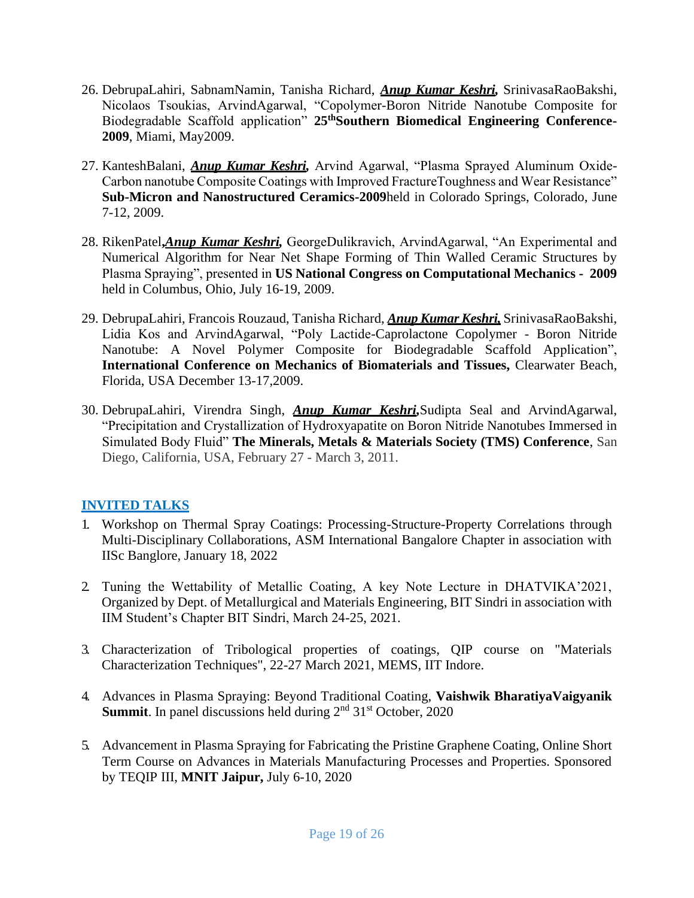- 26. DebrupaLahiri, SabnamNamin, Tanisha Richard, *Anup Kumar Keshri,* SrinivasaRaoBakshi, Nicolaos Tsoukias, ArvindAgarwal, "Copolymer-Boron Nitride Nanotube Composite for Biodegradable Scaffold application" **25thSouthern Biomedical Engineering Conference-2009**, Miami, May2009.
- 27. KanteshBalani, *Anup Kumar Keshri,* Arvind Agarwal, "Plasma Sprayed Aluminum Oxide-Carbon nanotube Composite Coatings with Improved FractureToughness and Wear Resistance" **Sub-Micron and Nanostructured Ceramics-2009**held in Colorado Springs, Colorado, June 7-12, 2009.
- 28. RikenPatel**,***Anup Kumar Keshri,* GeorgeDulikravich, ArvindAgarwal, "An Experimental and Numerical Algorithm for Near Net Shape Forming of Thin Walled Ceramic Structures by Plasma Spraying", presented in **US National Congress on Computational Mechanics - 2009**  held in Columbus, Ohio, July 16-19, 2009.
- 29. DebrupaLahiri, Francois Rouzaud, Tanisha Richard, *Anup Kumar Keshri,* SrinivasaRaoBakshi, Lidia Kos and ArvindAgarwal, "Poly Lactide-Caprolactone Copolymer - Boron Nitride Nanotube: A Novel Polymer Composite for Biodegradable Scaffold Application", **International Conference on Mechanics of Biomaterials and Tissues,** Clearwater Beach, Florida, USA December 13-17,2009.
- 30. DebrupaLahiri, Virendra Singh, *Anup Kumar Keshri,*Sudipta Seal and ArvindAgarwal, "Precipitation and Crystallization of Hydroxyapatite on Boron Nitride Nanotubes Immersed in Simulated Body Fluid" **The Minerals, Metals & Materials Society (TMS) Conference**, San Diego, California, USA, February 27 - March 3, 2011.

### **INVITED TALKS**

- 1. Workshop on Thermal Spray Coatings: Processing-Structure-Property Correlations through Multi-Disciplinary Collaborations, ASM International Bangalore Chapter in association with IISc Banglore, January 18, 2022
- 2. Tuning the Wettability of Metallic Coating, A key Note Lecture in DHATVIKA'2021, Organized by Dept. of Metallurgical and Materials Engineering, BIT Sindri in association with IIM Student's Chapter BIT Sindri, March 24-25, 2021.
- 3. Characterization of Tribological properties of coatings, QIP course on "Materials Characterization Techniques", 22-27 March 2021, MEMS, IIT Indore.
- 4. Advances in Plasma Spraying: Beyond Traditional Coating, **Vaishwik BharatiyaVaigyanik Summit**. In panel discussions held during 2<sup>nd</sup> 31<sup>st</sup> October, 2020
- 5. Advancement in Plasma Spraying for Fabricating the Pristine Graphene Coating, Online Short Term Course on Advances in Materials Manufacturing Processes and Properties. Sponsored by TEQIP III, **MNIT Jaipur,** July 6-10, 2020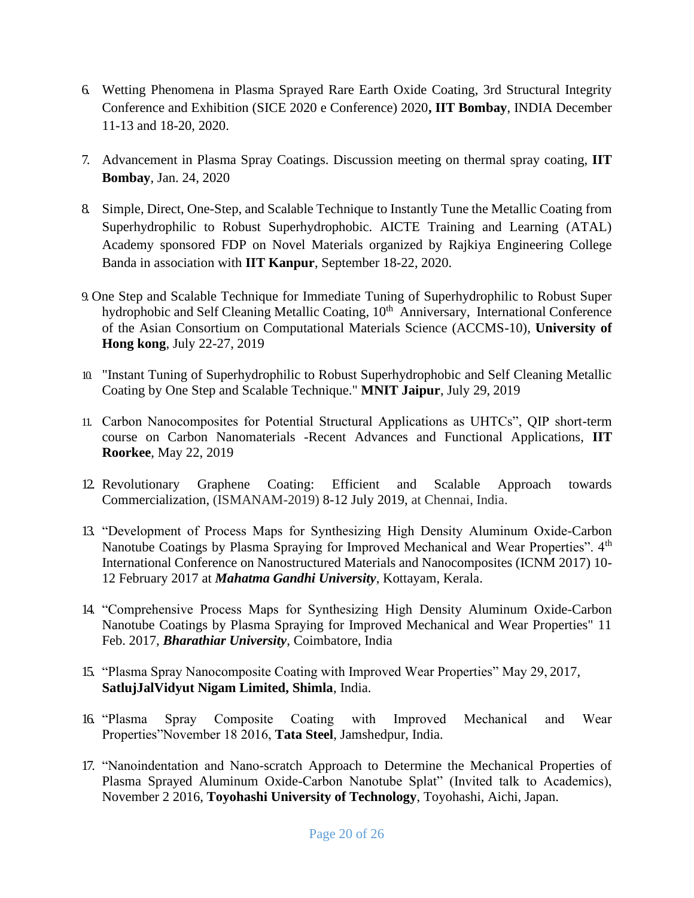- 6. Wetting Phenomena in Plasma Sprayed Rare Earth Oxide Coating, 3rd Structural Integrity Conference and Exhibition (SICE 2020 e Conference) 2020**, IIT Bombay**, INDIA December 11-13 and 18-20, 2020.
- 7. Advancement in Plasma Spray Coatings. Discussion meeting on thermal spray coating, **IIT Bombay**, Jan. 24, 2020
- 8. Simple, Direct, One-Step, and Scalable Technique to Instantly Tune the Metallic Coating from Superhydrophilic to Robust Superhydrophobic. AICTE Training and Learning (ATAL) Academy sponsored FDP on Novel Materials organized by Rajkiya Engineering College Banda in association with **IIT Kanpur**, September 18-22, 2020.
- 9. One Step and Scalable Technique for Immediate Tuning of Superhydrophilic to Robust Super hydrophobic and Self Cleaning Metallic Coating, 10<sup>th</sup> Anniversary, International Conference of the Asian Consortium on Computational Materials Science (ACCMS-10), **University of Hong kong**, July 22-27, 2019
- 10. "Instant Tuning of Superhydrophilic to Robust Superhydrophobic and Self Cleaning Metallic Coating by One Step and Scalable Technique." **MNIT Jaipur**, July 29, 2019
- 11. Carbon Nanocomposites for Potential Structural Applications as UHTCs", QIP short-term course on Carbon Nanomaterials -Recent Advances and Functional Applications, **IIT Roorkee**, May 22, 2019
- 12. Revolutionary Graphene Coating: Efficient and Scalable Approach towards Commercialization, (ISMANAM-2019) 8-12 July 2019, at Chennai, India.
- 13. "Development of Process Maps for Synthesizing High Density Aluminum Oxide-Carbon Nanotube Coatings by Plasma Spraying for Improved Mechanical and Wear Properties". 4<sup>th</sup> International Conference on Nanostructured Materials and Nanocomposites (ICNM 2017) 10- 12 February 2017 at *Mahatma Gandhi University*, Kottayam, Kerala.
- 14. "Comprehensive Process Maps for Synthesizing High Density Aluminum Oxide-Carbon Nanotube Coatings by Plasma Spraying for Improved Mechanical and Wear Properties" 11 Feb. 2017, *Bharathiar University*, Coimbatore, India
- 15. "Plasma Spray Nanocomposite Coating with Improved Wear Properties" May 29, 2017, **SatlujJalVidyut Nigam Limited, Shimla**, India.
- 16. "Plasma Spray Composite Coating with Improved Mechanical and Wear Properties"November 18 2016, **Tata Steel**, Jamshedpur, India.
- 17. "Nanoindentation and Nano-scratch Approach to Determine the Mechanical Properties of Plasma Sprayed Aluminum Oxide-Carbon Nanotube Splat" (Invited talk to Academics), November 2 2016, **Toyohashi University of Technology**, Toyohashi, Aichi, Japan.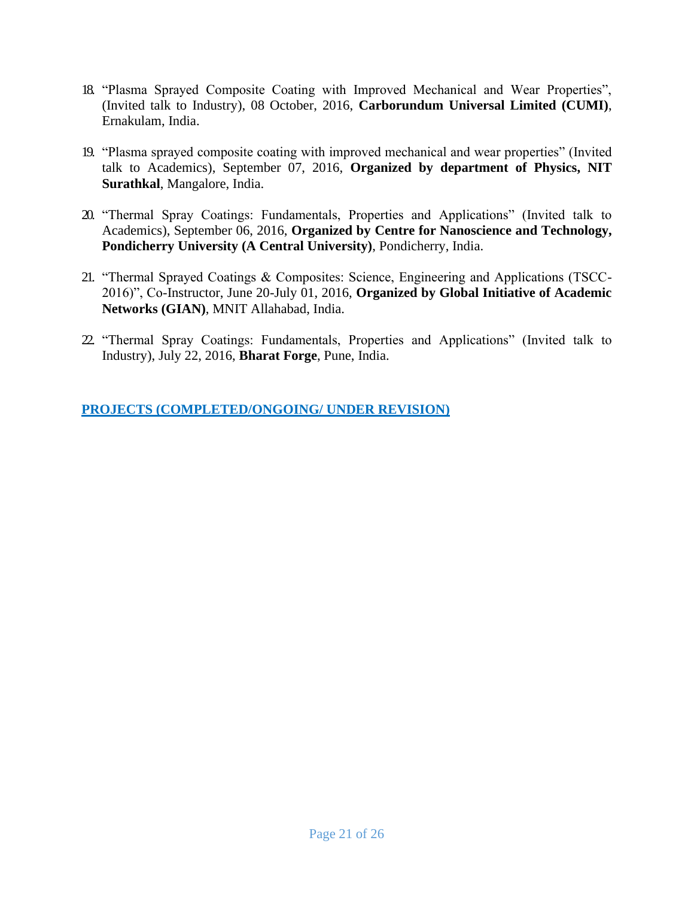- 18. "Plasma Sprayed Composite Coating with Improved Mechanical and Wear Properties", (Invited talk to Industry), 08 October, 2016, **Carborundum Universal Limited (CUMI)**, Ernakulam, India.
- 19. "Plasma sprayed composite coating with improved mechanical and wear properties" (Invited talk to Academics), September 07, 2016, **Organized by department of Physics, NIT Surathkal**, Mangalore, India.
- 20. "Thermal Spray Coatings: Fundamentals, Properties and Applications" (Invited talk to Academics), September 06, 2016, **Organized by Centre for Nanoscience and Technology, Pondicherry University (A Central University)**, Pondicherry, India.
- 21. "Thermal Sprayed Coatings & Composites: Science, Engineering and Applications (TSCC-2016)", Co-Instructor, June 20-July 01, 2016, **Organized by Global Initiative of Academic Networks (GIAN)**, MNIT Allahabad, India.
- 22. "Thermal Spray Coatings: Fundamentals, Properties and Applications" (Invited talk to Industry), July 22, 2016, **Bharat Forge**, Pune, India.

**PROJECTS (COMPLETED/ONGOING/ UNDER REVISION)**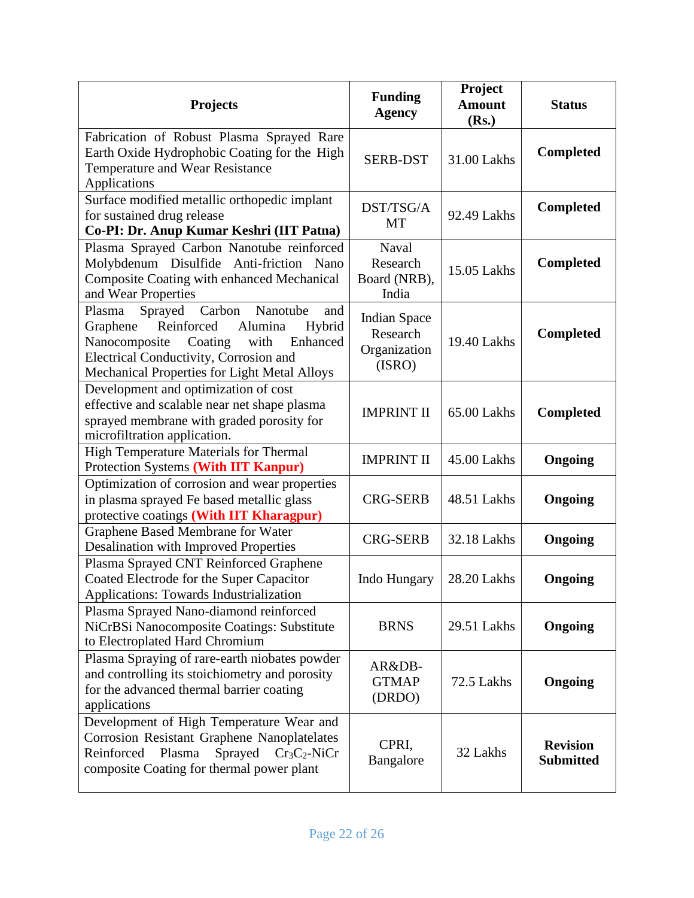| <b>Projects</b>                                                                                                                                                                                                                      | <b>Funding</b><br><b>Agency</b>                           | Project<br><b>Amount</b><br>(Rs.) | <b>Status</b>                       |
|--------------------------------------------------------------------------------------------------------------------------------------------------------------------------------------------------------------------------------------|-----------------------------------------------------------|-----------------------------------|-------------------------------------|
| Fabrication of Robust Plasma Sprayed Rare<br>Earth Oxide Hydrophobic Coating for the High<br>Temperature and Wear Resistance<br>Applications                                                                                         | <b>SERB-DST</b>                                           | 31.00 Lakhs                       | <b>Completed</b>                    |
| Surface modified metallic orthopedic implant<br>for sustained drug release<br>Co-PI: Dr. Anup Kumar Keshri (IIT Patna)                                                                                                               | DST/TSG/A<br>MT                                           | 92.49 Lakhs                       | <b>Completed</b>                    |
| Plasma Sprayed Carbon Nanotube reinforced<br>Molybdenum Disulfide Anti-friction Nano<br>Composite Coating with enhanced Mechanical<br>and Wear Properties                                                                            | Naval<br>Research<br>Board (NRB),<br>India                | 15.05 Lakhs                       | <b>Completed</b>                    |
| Sprayed Carbon<br>Nanotube<br>and<br>Plasma<br>Reinforced<br>Graphene<br>Alumina<br>Hybrid<br>Nanocomposite<br>Coating<br>with<br>Enhanced<br>Electrical Conductivity, Corrosion and<br>Mechanical Properties for Light Metal Alloys | <b>Indian Space</b><br>Research<br>Organization<br>(ISRO) | 19.40 Lakhs                       | <b>Completed</b>                    |
| Development and optimization of cost<br>effective and scalable near net shape plasma<br>sprayed membrane with graded porosity for<br>microfiltration application.                                                                    | <b>IMPRINT II</b>                                         | 65.00 Lakhs                       | <b>Completed</b>                    |
| High Temperature Materials for Thermal<br>Protection Systems (With IIT Kanpur)                                                                                                                                                       | <b>IMPRINT II</b>                                         | 45.00 Lakhs                       | Ongoing                             |
| Optimization of corrosion and wear properties<br>in plasma sprayed Fe based metallic glass<br>protective coatings (With IIT Kharagpur)                                                                                               | <b>CRG-SERB</b>                                           | 48.51 Lakhs                       | Ongoing                             |
| Graphene Based Membrane for Water<br><b>Desalination with Improved Properties</b>                                                                                                                                                    | <b>CRG-SERB</b>                                           | 32.18 Lakhs                       | Ongoing                             |
| Plasma Sprayed CNT Reinforced Graphene<br>Coated Electrode for the Super Capacitor<br>Applications: Towards Industrialization                                                                                                        | Indo Hungary                                              | 28.20 Lakhs                       | Ongoing                             |
| Plasma Sprayed Nano-diamond reinforced<br>NiCrBSi Nanocomposite Coatings: Substitute<br>to Electroplated Hard Chromium                                                                                                               | <b>BRNS</b>                                               | 29.51 Lakhs                       | Ongoing                             |
| Plasma Spraying of rare-earth niobates powder<br>and controlling its stoichiometry and porosity<br>for the advanced thermal barrier coating<br>applications                                                                          | AR&DB-<br><b>GTMAP</b><br>(DRDO)                          | 72.5 Lakhs                        | Ongoing                             |
| Development of High Temperature Wear and<br><b>Corrosion Resistant Graphene Nanoplatelates</b><br>Reinforced<br>Plasma<br>Sprayed<br>$Cr3C2$ -NiCr<br>composite Coating for thermal power plant                                      | CPRI,<br>Bangalore                                        | 32 Lakhs                          | <b>Revision</b><br><b>Submitted</b> |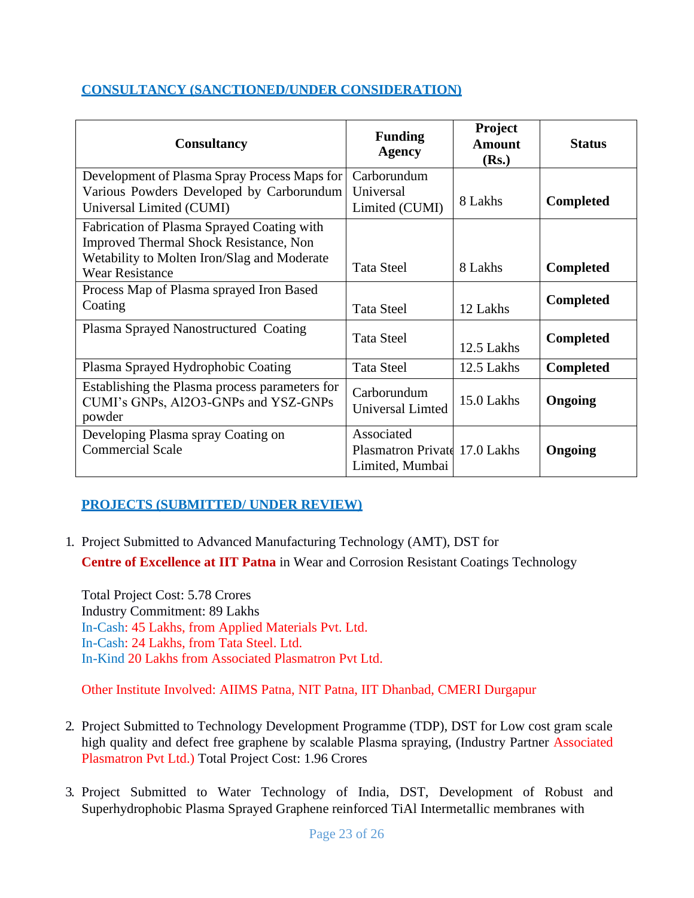#### **CONSULTANCY (SANCTIONED/UNDER CONSIDERATION)**

| <b>Consultancy</b>                                                                                                                                                   | <b>Funding</b><br><b>Agency</b>                                | Project<br><b>Amount</b><br>(Rs.) | <b>Status</b>    |
|----------------------------------------------------------------------------------------------------------------------------------------------------------------------|----------------------------------------------------------------|-----------------------------------|------------------|
| Development of Plasma Spray Process Maps for<br>Various Powders Developed by Carborundum<br>Universal Limited (CUMI)                                                 | Carborundum<br>Universal<br>Limited (CUMI)                     | 8 Lakhs                           | <b>Completed</b> |
| Fabrication of Plasma Sprayed Coating with<br><b>Improved Thermal Shock Resistance, Non</b><br>Wetability to Molten Iron/Slag and Moderate<br><b>Wear Resistance</b> | <b>Tata Steel</b>                                              | 8 Lakhs                           | <b>Completed</b> |
| Process Map of Plasma sprayed Iron Based<br>Coating                                                                                                                  | <b>Tata Steel</b>                                              | 12 Lakhs                          | <b>Completed</b> |
| Plasma Sprayed Nanostructured Coating                                                                                                                                | <b>Tata Steel</b>                                              | 12.5 Lakhs                        | <b>Completed</b> |
| Plasma Sprayed Hydrophobic Coating                                                                                                                                   | <b>Tata Steel</b>                                              | 12.5 Lakhs                        | <b>Completed</b> |
| Establishing the Plasma process parameters for<br>CUMI's GNPs, Al2O3-GNPs and YSZ-GNPs<br>powder                                                                     | Carborundum<br>Universal Limted                                | 15.0 Lakhs                        | Ongoing          |
| Developing Plasma spray Coating on<br><b>Commercial Scale</b>                                                                                                        | Associated<br>Plasmatron Private 17.0 Lakhs<br>Limited, Mumbai |                                   | Ongoing          |

### **PROJECTS (SUBMITTED/ UNDER REVIEW)**

1. Project Submitted to Advanced Manufacturing Technology (AMT), DST for **Centre of Excellence at IIT Patna** in Wear and Corrosion Resistant Coatings Technology

Total Project Cost: 5.78 Crores Industry Commitment: 89 Lakhs In-Cash: 45 Lakhs, from Applied Materials Pvt. Ltd. In-Cash: 24 Lakhs, from Tata Steel. Ltd. In-Kind 20 Lakhs from Associated Plasmatron Pvt Ltd.

Other Institute Involved: AIIMS Patna, NIT Patna, IIT Dhanbad, CMERI Durgapur

- 2. Project Submitted to Technology Development Programme (TDP), DST for Low cost gram scale high quality and defect free graphene by scalable Plasma spraying, (Industry Partner Associated Plasmatron Pvt Ltd.) Total Project Cost: 1.96 Crores
- 3. Project Submitted to Water Technology of India, DST, Development of Robust and Superhydrophobic Plasma Sprayed Graphene reinforced TiAl Intermetallic membranes with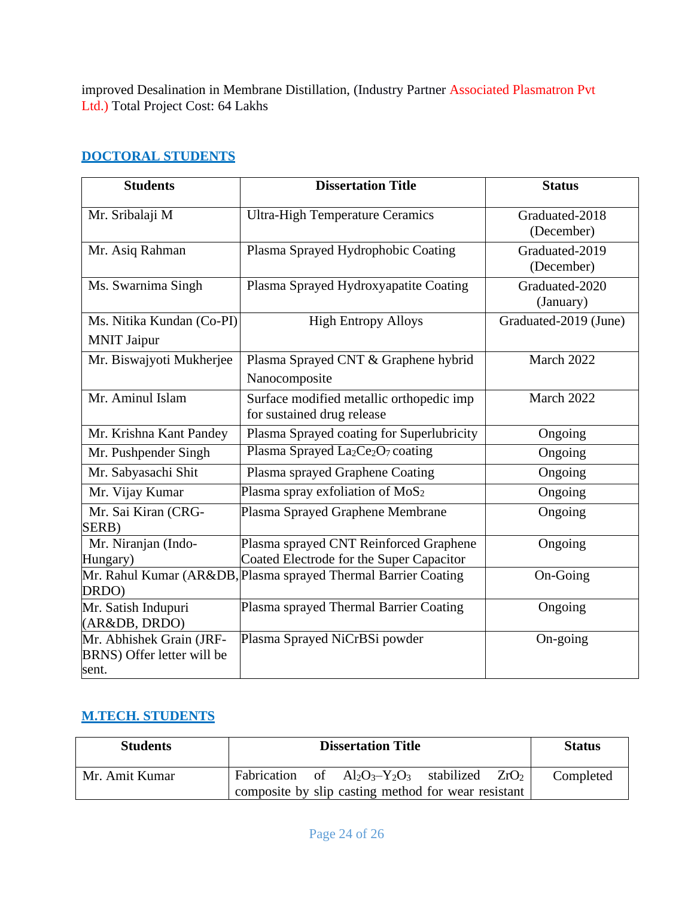improved Desalination in Membrane Distillation, (Industry Partner Associated Plasmatron Pvt Ltd.) Total Project Cost: 64 Lakhs

### **DOCTORAL STUDENTS**

| <b>Students</b>                                                 | <b>Dissertation Title</b>                                                          | <b>Status</b>                |
|-----------------------------------------------------------------|------------------------------------------------------------------------------------|------------------------------|
| Mr. Sribalaji M                                                 | <b>Ultra-High Temperature Ceramics</b>                                             | Graduated-2018<br>(December) |
| Mr. Asiq Rahman                                                 | Plasma Sprayed Hydrophobic Coating                                                 | Graduated-2019<br>(December) |
| Ms. Swarnima Singh                                              | Plasma Sprayed Hydroxyapatite Coating                                              | Graduated-2020<br>(January)  |
| Ms. Nitika Kundan (Co-PI)<br><b>MNIT Jaipur</b>                 | <b>High Entropy Alloys</b>                                                         | Graduated-2019 (June)        |
| Mr. Biswajyoti Mukherjee                                        | Plasma Sprayed CNT & Graphene hybrid<br>Nanocomposite                              | March 2022                   |
| Mr. Aminul Islam                                                | Surface modified metallic orthopedic imp<br>for sustained drug release             | March 2022                   |
| Mr. Krishna Kant Pandey                                         | Plasma Sprayed coating for Superlubricity                                          | Ongoing                      |
| Mr. Pushpender Singh                                            | Plasma Sprayed La <sub>2</sub> Ce <sub>2</sub> O <sub>7</sub> coating              | Ongoing                      |
| Mr. Sabyasachi Shit                                             | Plasma sprayed Graphene Coating                                                    | Ongoing                      |
| Mr. Vijay Kumar                                                 | Plasma spray exfoliation of $MoS2$                                                 | Ongoing                      |
| Mr. Sai Kiran (CRG-<br>SERB)                                    | Plasma Sprayed Graphene Membrane                                                   | Ongoing                      |
| Mr. Niranjan (Indo-<br>Hungary)                                 | Plasma sprayed CNT Reinforced Graphene<br>Coated Electrode for the Super Capacitor | Ongoing                      |
| DRDO)                                                           | Mr. Rahul Kumar (AR&DB, Plasma sprayed Thermal Barrier Coating                     | On-Going                     |
| Mr. Satish Indupuri<br>(AR&DB, DRDO)                            | Plasma sprayed Thermal Barrier Coating                                             | Ongoing                      |
| Mr. Abhishek Grain (JRF-<br>BRNS) Offer letter will be<br>sent. | Plasma Sprayed NiCrBSi powder                                                      | On-going                     |

### **M.TECH. STUDENTS**

| <b>Students</b> |  | <b>Dissertation Title</b>                                                                                   |  | <b>Status</b> |
|-----------------|--|-------------------------------------------------------------------------------------------------------------|--|---------------|
| Mr. Amit Kumar  |  | Fabrication of $Al_2O_3 - Y_2O_3$ stabilized $ZrO_2$<br>composite by slip casting method for wear resistant |  | Completed     |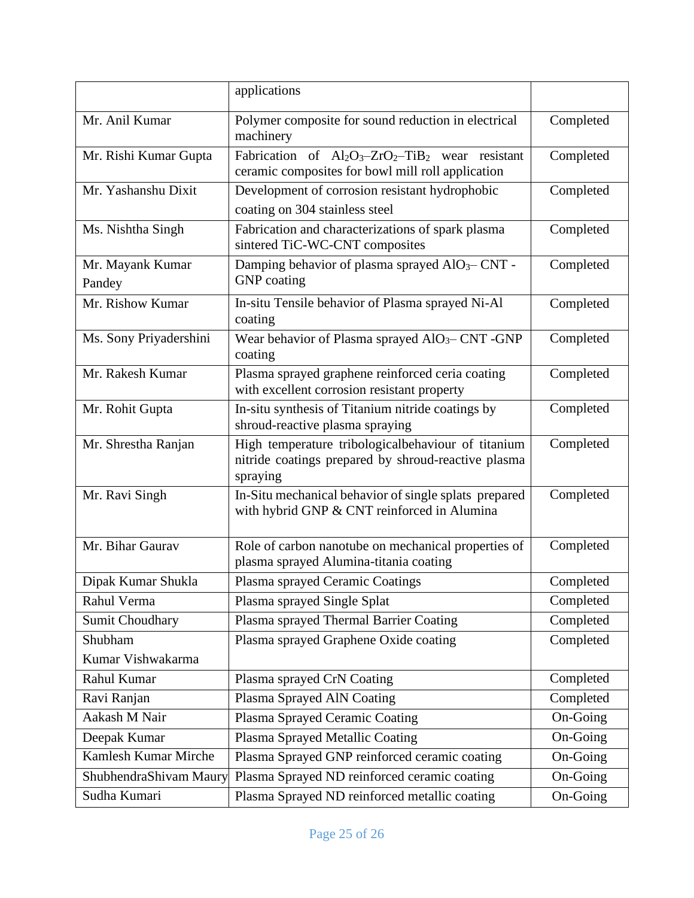|                            | applications                                                                                                             |           |
|----------------------------|--------------------------------------------------------------------------------------------------------------------------|-----------|
| Mr. Anil Kumar             | Polymer composite for sound reduction in electrical<br>machinery                                                         | Completed |
| Mr. Rishi Kumar Gupta      | Fabrication of $Al_2O_3$ - $ZrO_2$ -TiB <sub>2</sub> wear resistant<br>ceramic composites for bowl mill roll application | Completed |
| Mr. Yashanshu Dixit        | Development of corrosion resistant hydrophobic<br>coating on 304 stainless steel                                         | Completed |
| Ms. Nishtha Singh          | Fabrication and characterizations of spark plasma<br>sintered TiC-WC-CNT composites                                      | Completed |
| Mr. Mayank Kumar<br>Pandey | Damping behavior of plasma sprayed AlO <sub>3</sub> -CNT -<br><b>GNP</b> coating                                         | Completed |
| Mr. Rishow Kumar           | In-situ Tensile behavior of Plasma sprayed Ni-Al<br>coating                                                              | Completed |
| Ms. Sony Priyadershini     | Wear behavior of Plasma sprayed AlO <sub>3</sub> -CNT -GNP<br>coating                                                    | Completed |
| Mr. Rakesh Kumar           | Plasma sprayed graphene reinforced ceria coating<br>with excellent corrosion resistant property                          | Completed |
| Mr. Rohit Gupta            | In-situ synthesis of Titanium nitride coatings by<br>shroud-reactive plasma spraying                                     | Completed |
| Mr. Shrestha Ranjan        | High temperature tribologicalbehaviour of titanium<br>nitride coatings prepared by shroud-reactive plasma<br>spraying    | Completed |
| Mr. Ravi Singh             | In-Situ mechanical behavior of single splats prepared<br>with hybrid GNP & CNT reinforced in Alumina                     | Completed |
| Mr. Bihar Gaurav           | Role of carbon nanotube on mechanical properties of<br>plasma sprayed Alumina-titania coating                            | Completed |
| Dipak Kumar Shukla         | Plasma sprayed Ceramic Coatings                                                                                          | Completed |
| Rahul Verma                | Plasma sprayed Single Splat                                                                                              | Completed |
| <b>Sumit Choudhary</b>     | Plasma sprayed Thermal Barrier Coating                                                                                   | Completed |
| Shubham                    | Plasma sprayed Graphene Oxide coating                                                                                    | Completed |
| Kumar Vishwakarma          |                                                                                                                          |           |
| Rahul Kumar                | Plasma sprayed CrN Coating                                                                                               | Completed |
| Ravi Ranjan                | Plasma Sprayed AlN Coating                                                                                               | Completed |
| Aakash M Nair              | Plasma Sprayed Ceramic Coating                                                                                           | On-Going  |
| Deepak Kumar               | Plasma Sprayed Metallic Coating                                                                                          | On-Going  |
| Kamlesh Kumar Mirche       | Plasma Sprayed GNP reinforced ceramic coating                                                                            | On-Going  |
| ShubhendraShivam Maury     | Plasma Sprayed ND reinforced ceramic coating                                                                             | On-Going  |
| Sudha Kumari               | Plasma Sprayed ND reinforced metallic coating                                                                            | On-Going  |